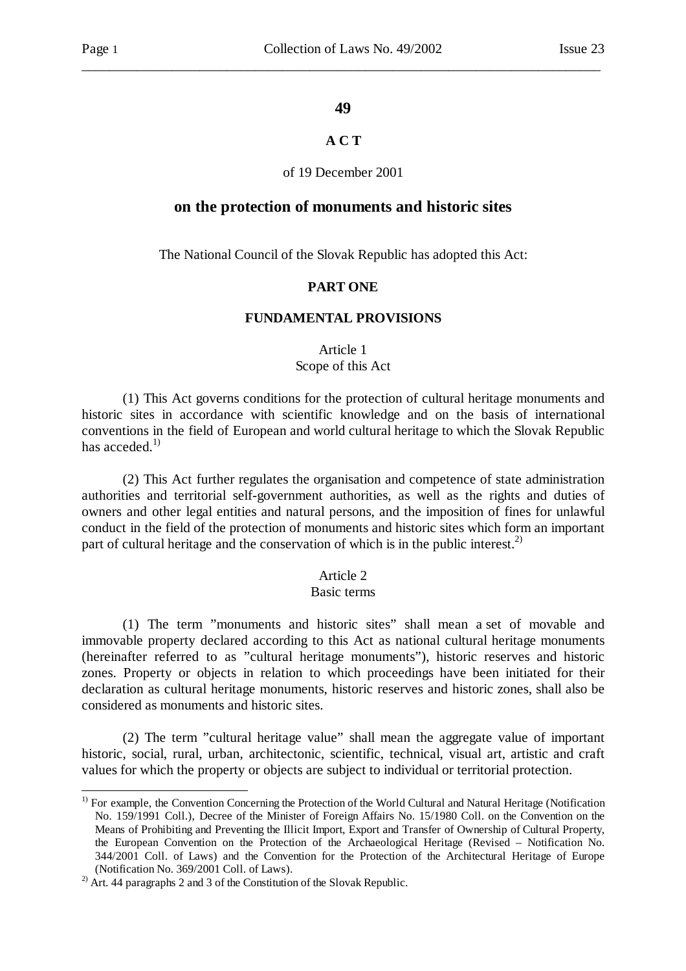-

#### **49**

\_\_\_\_\_\_\_\_\_\_\_\_\_\_\_\_\_\_\_\_\_\_\_\_\_\_\_\_\_\_\_\_\_\_\_\_\_\_\_\_\_\_\_\_\_\_\_\_\_\_\_\_\_\_\_\_\_\_\_\_\_\_\_\_\_\_\_\_\_\_\_\_\_\_\_

# **A C T**

#### of 19 December 2001

#### **on the protection of monuments and historic sites**

The National Council of the Slovak Republic has adopted this Act:

### **PART ONE**

#### **FUNDAMENTAL PROVISIONS**

Article 1

#### Scope of this Act

 (1) This Act governs conditions for the protection of cultural heritage monuments and historic sites in accordance with scientific knowledge and on the basis of international conventions in the field of European and world cultural heritage to which the Slovak Republic has acceded. $1)$ 

 (2) This Act further regulates the organisation and competence of state administration authorities and territorial self-government authorities, as well as the rights and duties of owners and other legal entities and natural persons, and the imposition of fines for unlawful conduct in the field of the protection of monuments and historic sites which form an important part of cultural heritage and the conservation of which is in the public interest.<sup>2)</sup>

#### Article 2

#### Basic terms

 (1) The term "monuments and historic sites" shall mean a set of movable and immovable property declared according to this Act as national cultural heritage monuments (hereinafter referred to as "cultural heritage monuments"), historic reserves and historic zones. Property or objects in relation to which proceedings have been initiated for their declaration as cultural heritage monuments, historic reserves and historic zones, shall also be considered as monuments and historic sites.

 (2) The term "cultural heritage value" shall mean the aggregate value of important historic, social, rural, urban, architectonic, scientific, technical, visual art, artistic and craft values for which the property or objects are subject to individual or territorial protection.

<sup>&</sup>lt;sup>1)</sup> For example, the Convention Concerning the Protection of the World Cultural and Natural Heritage (Notification No. 159/1991 Coll.), Decree of the Minister of Foreign Affairs No. 15/1980 Coll. on the Convention on the Means of Prohibiting and Preventing the Illicit Import, Export and Transfer of Ownership of Cultural Property, the European Convention on the Protection of the Archaeological Heritage (Revised – Notification No. 344/2001 Coll. of Laws) and the Convention for the Protection of the Architectural Heritage of Europe (Notification No. 369/2001 Coll. of Laws).

<sup>&</sup>lt;sup>2)</sup> Art. 44 paragraphs 2 and 3 of the Constitution of the Slovak Republic.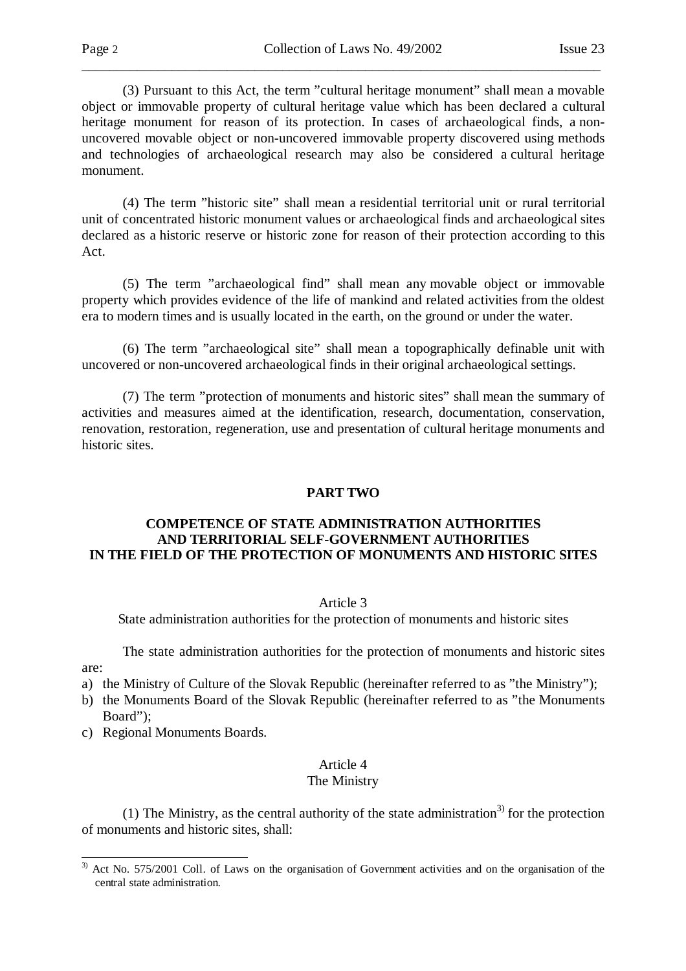(3) Pursuant to this Act, the term "cultural heritage monument" shall mean a movable object or immovable property of cultural heritage value which has been declared a cultural heritage monument for reason of its protection. In cases of archaeological finds, a nonuncovered movable object or non-uncovered immovable property discovered using methods and technologies of archaeological research may also be considered a cultural heritage monument.

\_\_\_\_\_\_\_\_\_\_\_\_\_\_\_\_\_\_\_\_\_\_\_\_\_\_\_\_\_\_\_\_\_\_\_\_\_\_\_\_\_\_\_\_\_\_\_\_\_\_\_\_\_\_\_\_\_\_\_\_\_\_\_\_\_\_\_\_\_\_\_\_\_\_\_

 (4) The term "historic site" shall mean a residential territorial unit or rural territorial unit of concentrated historic monument values or archaeological finds and archaeological sites declared as a historic reserve or historic zone for reason of their protection according to this Act.

 (5) The term "archaeological find" shall mean any movable object or immovable property which provides evidence of the life of mankind and related activities from the oldest era to modern times and is usually located in the earth, on the ground or under the water.

 (6) The term "archaeological site" shall mean a topographically definable unit with uncovered or non-uncovered archaeological finds in their original archaeological settings.

 (7) The term "protection of monuments and historic sites" shall mean the summary of activities and measures aimed at the identification, research, documentation, conservation, renovation, restoration, regeneration, use and presentation of cultural heritage monuments and historic sites.

### **PART TWO**

### **COMPETENCE OF STATE ADMINISTRATION AUTHORITIES AND TERRITORIAL SELF-GOVERNMENT AUTHORITIES IN THE FIELD OF THE PROTECTION OF MONUMENTS AND HISTORIC SITES**

#### Article 3

State administration authorities for the protection of monuments and historic sites

 The state administration authorities for the protection of monuments and historic sites are:

- a) the Ministry of Culture of the Slovak Republic (hereinafter referred to as "the Ministry");
- b) the Monuments Board of the Slovak Republic (hereinafter referred to as "the Monuments Board");
- c) Regional Monuments Boards.

l

#### Article 4 The Ministry

(1) The Ministry, as the central authority of the state administration<sup>3)</sup> for the protection of monuments and historic sites, shall:

<sup>&</sup>lt;sup>3)</sup> Act No. 575/2001 Coll. of Laws on the organisation of Government activities and on the organisation of the central state administration.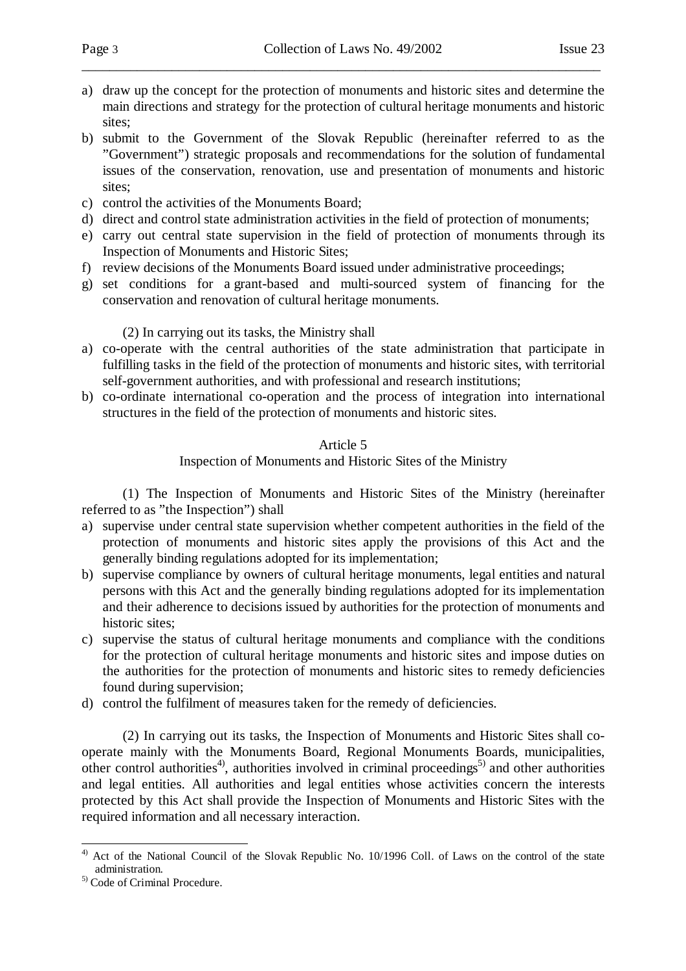a) draw up the concept for the protection of monuments and historic sites and determine the main directions and strategy for the protection of cultural heritage monuments and historic sites;

\_\_\_\_\_\_\_\_\_\_\_\_\_\_\_\_\_\_\_\_\_\_\_\_\_\_\_\_\_\_\_\_\_\_\_\_\_\_\_\_\_\_\_\_\_\_\_\_\_\_\_\_\_\_\_\_\_\_\_\_\_\_\_\_\_\_\_\_\_\_\_\_\_\_\_

- b) submit to the Government of the Slovak Republic (hereinafter referred to as the "Government") strategic proposals and recommendations for the solution of fundamental issues of the conservation, renovation, use and presentation of monuments and historic sites;
- c) control the activities of the Monuments Board;
- d) direct and control state administration activities in the field of protection of monuments;
- e) carry out central state supervision in the field of protection of monuments through its Inspection of Monuments and Historic Sites;
- f) review decisions of the Monuments Board issued under administrative proceedings;
- g) set conditions for a grant-based and multi-sourced system of financing for the conservation and renovation of cultural heritage monuments.

(2) In carrying out its tasks, the Ministry shall

- a) co-operate with the central authorities of the state administration that participate in fulfilling tasks in the field of the protection of monuments and historic sites, with territorial self-government authorities, and with professional and research institutions;
- b) co-ordinate international co-operation and the process of integration into international structures in the field of the protection of monuments and historic sites.

# Article 5

Inspection of Monuments and Historic Sites of the Ministry

 (1) The Inspection of Monuments and Historic Sites of the Ministry (hereinafter referred to as "the Inspection") shall

- a) supervise under central state supervision whether competent authorities in the field of the protection of monuments and historic sites apply the provisions of this Act and the generally binding regulations adopted for its implementation;
- b) supervise compliance by owners of cultural heritage monuments, legal entities and natural persons with this Act and the generally binding regulations adopted for its implementation and their adherence to decisions issued by authorities for the protection of monuments and historic sites;
- c) supervise the status of cultural heritage monuments and compliance with the conditions for the protection of cultural heritage monuments and historic sites and impose duties on the authorities for the protection of monuments and historic sites to remedy deficiencies found during supervision;
- d) control the fulfilment of measures taken for the remedy of deficiencies.

 (2) In carrying out its tasks, the Inspection of Monuments and Historic Sites shall cooperate mainly with the Monuments Board, Regional Monuments Boards, municipalities, other control authorities<sup>4)</sup>, authorities involved in criminal proceedings<sup>5)</sup> and other authorities and legal entities. All authorities and legal entities whose activities concern the interests protected by this Act shall provide the Inspection of Monuments and Historic Sites with the required information and all necessary interaction.

l <sup>4)</sup> Act of the National Council of the Slovak Republic No. 10/1996 Coll. of Laws on the control of the state administration.

<sup>5)</sup> Code of Criminal Procedure.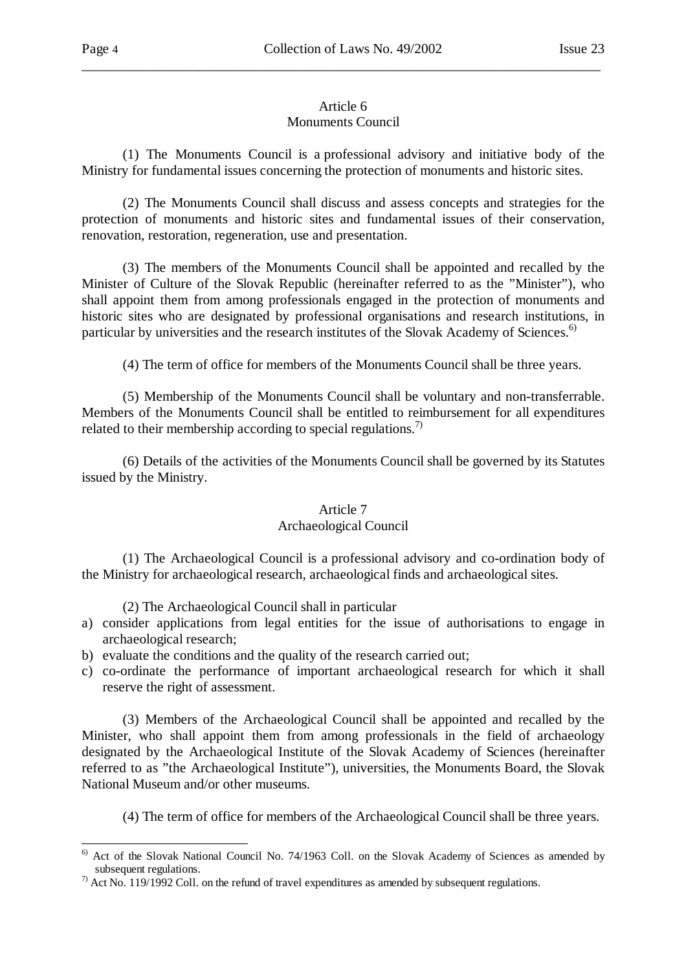# Article 6

\_\_\_\_\_\_\_\_\_\_\_\_\_\_\_\_\_\_\_\_\_\_\_\_\_\_\_\_\_\_\_\_\_\_\_\_\_\_\_\_\_\_\_\_\_\_\_\_\_\_\_\_\_\_\_\_\_\_\_\_\_\_\_\_\_\_\_\_\_\_\_\_\_\_\_

# Monuments Council

 (1) The Monuments Council is a professional advisory and initiative body of the Ministry for fundamental issues concerning the protection of monuments and historic sites.

 (2) The Monuments Council shall discuss and assess concepts and strategies for the protection of monuments and historic sites and fundamental issues of their conservation, renovation, restoration, regeneration, use and presentation.

 (3) The members of the Monuments Council shall be appointed and recalled by the Minister of Culture of the Slovak Republic (hereinafter referred to as the "Minister"), who shall appoint them from among professionals engaged in the protection of monuments and historic sites who are designated by professional organisations and research institutions, in particular by universities and the research institutes of the Slovak Academy of Sciences.<sup>6)</sup>

(4) The term of office for members of the Monuments Council shall be three years.

 (5) Membership of the Monuments Council shall be voluntary and non-transferrable. Members of the Monuments Council shall be entitled to reimbursement for all expenditures related to their membership according to special regulations.<sup>7)</sup>

 (6) Details of the activities of the Monuments Council shall be governed by its Statutes issued by the Ministry.

# Article 7

# Archaeological Council

 (1) The Archaeological Council is a professional advisory and co-ordination body of the Ministry for archaeological research, archaeological finds and archaeological sites.

(2) The Archaeological Council shall in particular

- a) consider applications from legal entities for the issue of authorisations to engage in archaeological research;
- b) evaluate the conditions and the quality of the research carried out;
- c) co-ordinate the performance of important archaeological research for which it shall reserve the right of assessment.

 (3) Members of the Archaeological Council shall be appointed and recalled by the Minister, who shall appoint them from among professionals in the field of archaeology designated by the Archaeological Institute of the Slovak Academy of Sciences (hereinafter referred to as "the Archaeological Institute"), universities, the Monuments Board, the Slovak National Museum and/or other museums.

(4) The term of office for members of the Archaeological Council shall be three years.

 $<sup>6)</sup>$  Act of the Slovak National Council No. 74/1963 Coll. on the Slovak Academy of Sciences as amended by</sup> subsequent regulations.

 $\frac{7}{1}$  Act No. 119/1992 Coll. on the refund of travel expenditures as amended by subsequent regulations.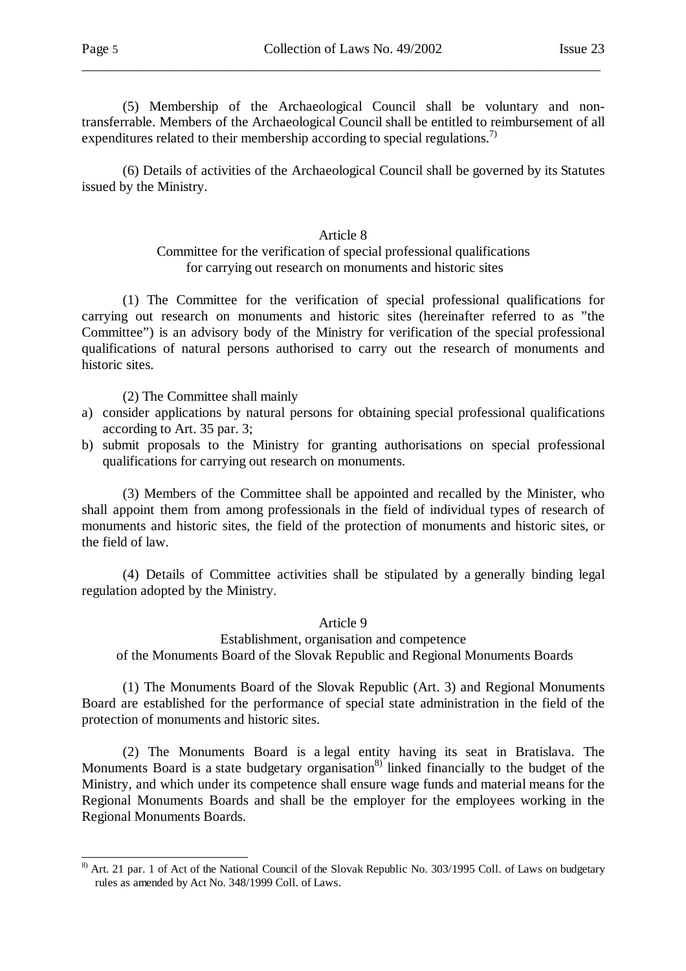(5) Membership of the Archaeological Council shall be voluntary and nontransferrable. Members of the Archaeological Council shall be entitled to reimbursement of all expenditures related to their membership according to special regulations.<sup>7)</sup>

\_\_\_\_\_\_\_\_\_\_\_\_\_\_\_\_\_\_\_\_\_\_\_\_\_\_\_\_\_\_\_\_\_\_\_\_\_\_\_\_\_\_\_\_\_\_\_\_\_\_\_\_\_\_\_\_\_\_\_\_\_\_\_\_\_\_\_\_\_\_\_\_\_\_\_

 (6) Details of activities of the Archaeological Council shall be governed by its Statutes issued by the Ministry.

### Article 8

# Committee for the verification of special professional qualifications for carrying out research on monuments and historic sites

 (1) The Committee for the verification of special professional qualifications for carrying out research on monuments and historic sites (hereinafter referred to as "the Committee") is an advisory body of the Ministry for verification of the special professional qualifications of natural persons authorised to carry out the research of monuments and historic sites.

(2) The Committee shall mainly

- a) consider applications by natural persons for obtaining special professional qualifications according to Art. 35 par. 3;
- b) submit proposals to the Ministry for granting authorisations on special professional qualifications for carrying out research on monuments.

 (3) Members of the Committee shall be appointed and recalled by the Minister, who shall appoint them from among professionals in the field of individual types of research of monuments and historic sites, the field of the protection of monuments and historic sites, or the field of law.

 (4) Details of Committee activities shall be stipulated by a generally binding legal regulation adopted by the Ministry.

#### Article 9

Establishment, organisation and competence of the Monuments Board of the Slovak Republic and Regional Monuments Boards

 (1) The Monuments Board of the Slovak Republic (Art. 3) and Regional Monuments Board are established for the performance of special state administration in the field of the protection of monuments and historic sites.

 (2) The Monuments Board is a legal entity having its seat in Bratislava. The Monuments Board is a state budgetary organisation<sup>8)</sup> linked financially to the budget of the Ministry, and which under its competence shall ensure wage funds and material means for the Regional Monuments Boards and shall be the employer for the employees working in the Regional Monuments Boards.

l <sup>8)</sup> Art. 21 par. 1 of Act of the National Council of the Slovak Republic No. 303/1995 Coll. of Laws on budgetary rules as amended by Act No. 348/1999 Coll. of Laws.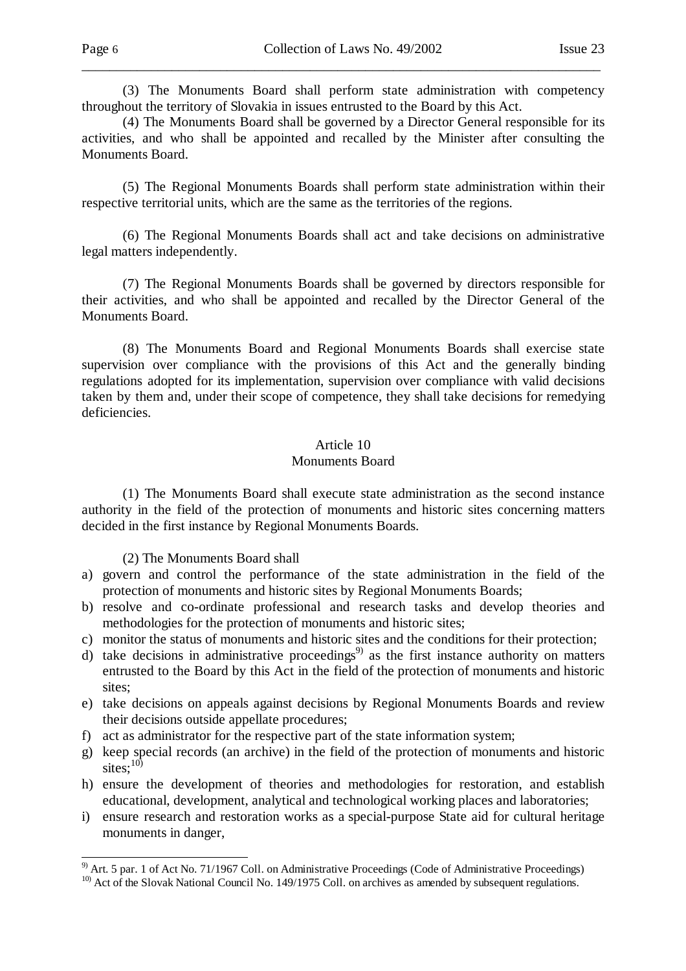(3) The Monuments Board shall perform state administration with competency throughout the territory of Slovakia in issues entrusted to the Board by this Act.

\_\_\_\_\_\_\_\_\_\_\_\_\_\_\_\_\_\_\_\_\_\_\_\_\_\_\_\_\_\_\_\_\_\_\_\_\_\_\_\_\_\_\_\_\_\_\_\_\_\_\_\_\_\_\_\_\_\_\_\_\_\_\_\_\_\_\_\_\_\_\_\_\_\_\_

 (4) The Monuments Board shall be governed by a Director General responsible for its activities, and who shall be appointed and recalled by the Minister after consulting the Monuments Board.

 (5) The Regional Monuments Boards shall perform state administration within their respective territorial units, which are the same as the territories of the regions.

 (6) The Regional Monuments Boards shall act and take decisions on administrative legal matters independently.

 (7) The Regional Monuments Boards shall be governed by directors responsible for their activities, and who shall be appointed and recalled by the Director General of the Monuments Board.

 (8) The Monuments Board and Regional Monuments Boards shall exercise state supervision over compliance with the provisions of this Act and the generally binding regulations adopted for its implementation, supervision over compliance with valid decisions taken by them and, under their scope of competence, they shall take decisions for remedying deficiencies.

### Article 10

#### Monuments Board

 (1) The Monuments Board shall execute state administration as the second instance authority in the field of the protection of monuments and historic sites concerning matters decided in the first instance by Regional Monuments Boards.

(2) The Monuments Board shall

- a) govern and control the performance of the state administration in the field of the protection of monuments and historic sites by Regional Monuments Boards;
- b) resolve and co-ordinate professional and research tasks and develop theories and methodologies for the protection of monuments and historic sites;
- c) monitor the status of monuments and historic sites and the conditions for their protection;
- $\overrightarrow{d}$  take decisions in administrative proceedings<sup>9)</sup> as the first instance authority on matters entrusted to the Board by this Act in the field of the protection of monuments and historic sites;
- e) take decisions on appeals against decisions by Regional Monuments Boards and review their decisions outside appellate procedures;
- f) act as administrator for the respective part of the state information system;
- g) keep special records (an archive) in the field of the protection of monuments and historic sites; $^{10}$
- h) ensure the development of theories and methodologies for restoration, and establish educational, development, analytical and technological working places and laboratories;
- i) ensure research and restoration works as a special-purpose State aid for cultural heritage monuments in danger,

<sup>&</sup>lt;sup>9)</sup> Art. 5 par. 1 of Act No. 71/1967 Coll. on Administrative Proceedings (Code of Administrative Proceedings)

<sup>&</sup>lt;sup>10)</sup> Act of the Slovak National Council No. 149/1975 Coll. on archives as amended by subsequent regulations.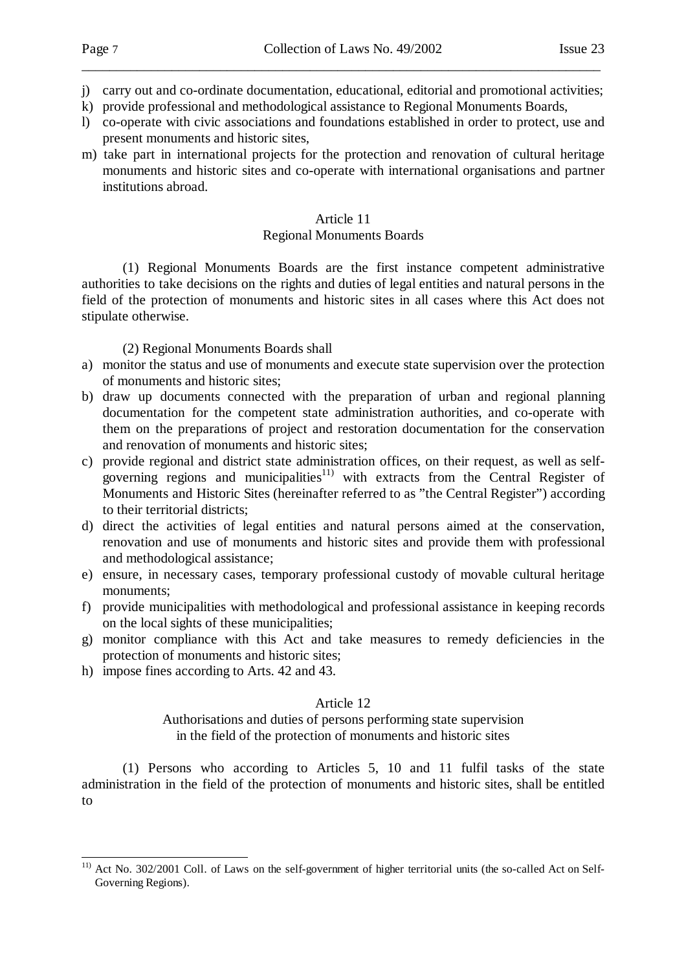j) carry out and co-ordinate documentation, educational, editorial and promotional activities;

\_\_\_\_\_\_\_\_\_\_\_\_\_\_\_\_\_\_\_\_\_\_\_\_\_\_\_\_\_\_\_\_\_\_\_\_\_\_\_\_\_\_\_\_\_\_\_\_\_\_\_\_\_\_\_\_\_\_\_\_\_\_\_\_\_\_\_\_\_\_\_\_\_\_\_

- k) provide professional and methodological assistance to Regional Monuments Boards,
- l) co-operate with civic associations and foundations established in order to protect, use and present monuments and historic sites,
- m) take part in international projects for the protection and renovation of cultural heritage monuments and historic sites and co-operate with international organisations and partner institutions abroad.

### Article 11

# Regional Monuments Boards

 (1) Regional Monuments Boards are the first instance competent administrative authorities to take decisions on the rights and duties of legal entities and natural persons in the field of the protection of monuments and historic sites in all cases where this Act does not stipulate otherwise.

### (2) Regional Monuments Boards shall

- a) monitor the status and use of monuments and execute state supervision over the protection of monuments and historic sites;
- b) draw up documents connected with the preparation of urban and regional planning documentation for the competent state administration authorities, and co-operate with them on the preparations of project and restoration documentation for the conservation and renovation of monuments and historic sites;
- c) provide regional and district state administration offices, on their request, as well as selfgoverning regions and municipalities<sup>11)</sup> with extracts from the Central Register of Monuments and Historic Sites (hereinafter referred to as "the Central Register") according to their territorial districts;
- d) direct the activities of legal entities and natural persons aimed at the conservation, renovation and use of monuments and historic sites and provide them with professional and methodological assistance;
- e) ensure, in necessary cases, temporary professional custody of movable cultural heritage monuments;
- f) provide municipalities with methodological and professional assistance in keeping records on the local sights of these municipalities;
- g) monitor compliance with this Act and take measures to remedy deficiencies in the protection of monuments and historic sites;
- h) impose fines according to Arts. 42 and 43.

l

# Article 12

# Authorisations and duties of persons performing state supervision in the field of the protection of monuments and historic sites

 (1) Persons who according to Articles 5, 10 and 11 fulfil tasks of the state administration in the field of the protection of monuments and historic sites, shall be entitled to

<sup>&</sup>lt;sup>11)</sup> Act No. 302/2001 Coll. of Laws on the self-government of higher territorial units (the so-called Act on Self-Governing Regions).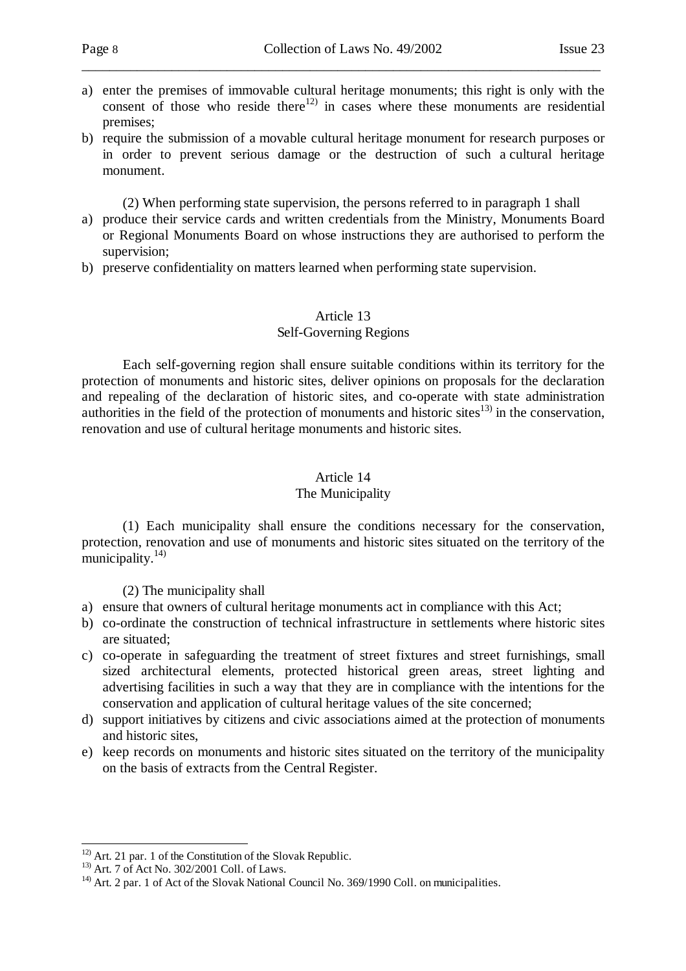a) enter the premises of immovable cultural heritage monuments; this right is only with the consent of those who reside there<sup>12)</sup> in cases where these monuments are residential premises;

\_\_\_\_\_\_\_\_\_\_\_\_\_\_\_\_\_\_\_\_\_\_\_\_\_\_\_\_\_\_\_\_\_\_\_\_\_\_\_\_\_\_\_\_\_\_\_\_\_\_\_\_\_\_\_\_\_\_\_\_\_\_\_\_\_\_\_\_\_\_\_\_\_\_\_

b) require the submission of a movable cultural heritage monument for research purposes or in order to prevent serious damage or the destruction of such a cultural heritage monument.

(2) When performing state supervision, the persons referred to in paragraph 1 shall

- a) produce their service cards and written credentials from the Ministry, Monuments Board or Regional Monuments Board on whose instructions they are authorised to perform the supervision;
- b) preserve confidentiality on matters learned when performing state supervision.

### Article 13 Self-Governing Regions

 Each self-governing region shall ensure suitable conditions within its territory for the protection of monuments and historic sites, deliver opinions on proposals for the declaration and repealing of the declaration of historic sites, and co-operate with state administration authorities in the field of the protection of monuments and historic sites $^{13}$  in the conservation, renovation and use of cultural heritage monuments and historic sites.

# Article 14

# The Municipality

 (1) Each municipality shall ensure the conditions necessary for the conservation, protection, renovation and use of monuments and historic sites situated on the territory of the municipality. $14$ )

(2) The municipality shall

- a) ensure that owners of cultural heritage monuments act in compliance with this Act;
- b) co-ordinate the construction of technical infrastructure in settlements where historic sites are situated;
- c) co-operate in safeguarding the treatment of street fixtures and street furnishings, small sized architectural elements, protected historical green areas, street lighting and advertising facilities in such a way that they are in compliance with the intentions for the conservation and application of cultural heritage values of the site concerned;
- d) support initiatives by citizens and civic associations aimed at the protection of monuments and historic sites,
- e) keep records on monuments and historic sites situated on the territory of the municipality on the basis of extracts from the Central Register.

l  $12)$  Art. 21 par. 1 of the Constitution of the Slovak Republic.

<sup>13)</sup> Art. 7 of Act No. 302/2001 Coll. of Laws.

<sup>&</sup>lt;sup>14)</sup> Art. 2 par. 1 of Act of the Slovak National Council No. 369/1990 Coll. on municipalities.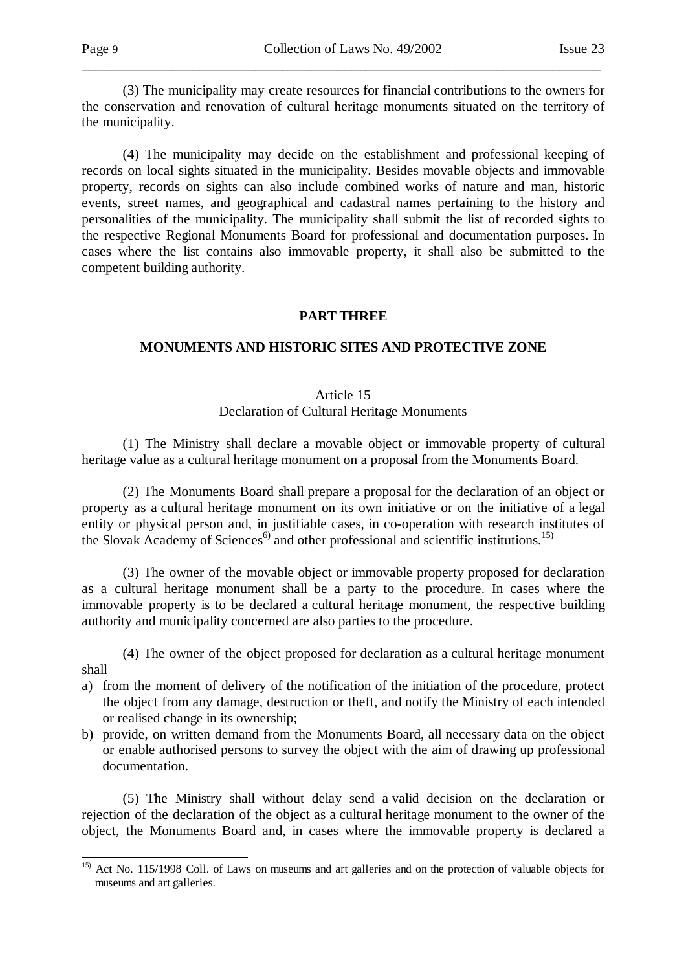(3) The municipality may create resources for financial contributions to the owners for the conservation and renovation of cultural heritage monuments situated on the territory of the municipality.

\_\_\_\_\_\_\_\_\_\_\_\_\_\_\_\_\_\_\_\_\_\_\_\_\_\_\_\_\_\_\_\_\_\_\_\_\_\_\_\_\_\_\_\_\_\_\_\_\_\_\_\_\_\_\_\_\_\_\_\_\_\_\_\_\_\_\_\_\_\_\_\_\_\_\_

 (4) The municipality may decide on the establishment and professional keeping of records on local sights situated in the municipality. Besides movable objects and immovable property, records on sights can also include combined works of nature and man, historic events, street names, and geographical and cadastral names pertaining to the history and personalities of the municipality. The municipality shall submit the list of recorded sights to the respective Regional Monuments Board for professional and documentation purposes. In cases where the list contains also immovable property, it shall also be submitted to the competent building authority.

### **PART THREE**

# **MONUMENTS AND HISTORIC SITES AND PROTECTIVE ZONE**

# Article 15 Declaration of Cultural Heritage Monuments

 (1) The Ministry shall declare a movable object or immovable property of cultural heritage value as a cultural heritage monument on a proposal from the Monuments Board.

 (2) The Monuments Board shall prepare a proposal for the declaration of an object or property as a cultural heritage monument on its own initiative or on the initiative of a legal entity or physical person and, in justifiable cases, in co-operation with research institutes of the Slovak Academy of Sciences<sup>6)</sup> and other professional and scientific institutions.<sup>15)</sup>

 (3) The owner of the movable object or immovable property proposed for declaration as a cultural heritage monument shall be a party to the procedure. In cases where the immovable property is to be declared a cultural heritage monument, the respective building authority and municipality concerned are also parties to the procedure.

 (4) The owner of the object proposed for declaration as a cultural heritage monument shall

- a) from the moment of delivery of the notification of the initiation of the procedure, protect the object from any damage, destruction or theft, and notify the Ministry of each intended or realised change in its ownership;
- b) provide, on written demand from the Monuments Board, all necessary data on the object or enable authorised persons to survey the object with the aim of drawing up professional documentation.

 (5) The Ministry shall without delay send a valid decision on the declaration or rejection of the declaration of the object as a cultural heritage monument to the owner of the object, the Monuments Board and, in cases where the immovable property is declared a

<sup>&</sup>lt;sup>15)</sup> Act No. 115/1998 Coll. of Laws on museums and art galleries and on the protection of valuable objects for museums and art galleries.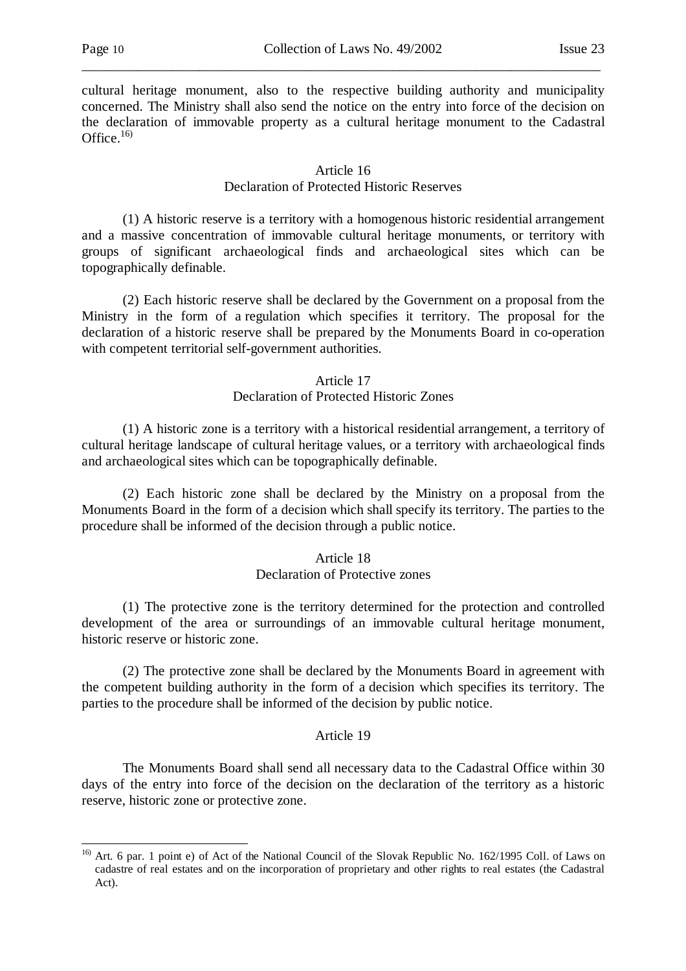cultural heritage monument, also to the respective building authority and municipality concerned. The Ministry shall also send the notice on the entry into force of the decision on the declaration of immovable property as a cultural heritage monument to the Cadastral Office. $16$ 

\_\_\_\_\_\_\_\_\_\_\_\_\_\_\_\_\_\_\_\_\_\_\_\_\_\_\_\_\_\_\_\_\_\_\_\_\_\_\_\_\_\_\_\_\_\_\_\_\_\_\_\_\_\_\_\_\_\_\_\_\_\_\_\_\_\_\_\_\_\_\_\_\_\_\_

#### Article 16 Declaration of Protected Historic Reserves

 (1) A historic reserve is a territory with a homogenous historic residential arrangement and a massive concentration of immovable cultural heritage monuments, or territory with groups of significant archaeological finds and archaeological sites which can be topographically definable.

 (2) Each historic reserve shall be declared by the Government on a proposal from the Ministry in the form of a regulation which specifies it territory. The proposal for the declaration of a historic reserve shall be prepared by the Monuments Board in co-operation with competent territorial self-government authorities.

### Article 17

### Declaration of Protected Historic Zones

 (1) A historic zone is a territory with a historical residential arrangement, a territory of cultural heritage landscape of cultural heritage values, or a territory with archaeological finds and archaeological sites which can be topographically definable.

 (2) Each historic zone shall be declared by the Ministry on a proposal from the Monuments Board in the form of a decision which shall specify its territory. The parties to the procedure shall be informed of the decision through a public notice.

# Article 18

# Declaration of Protective zones

 (1) The protective zone is the territory determined for the protection and controlled development of the area or surroundings of an immovable cultural heritage monument, historic reserve or historic zone.

 (2) The protective zone shall be declared by the Monuments Board in agreement with the competent building authority in the form of a decision which specifies its territory. The parties to the procedure shall be informed of the decision by public notice.

#### Article 19

 The Monuments Board shall send all necessary data to the Cadastral Office within 30 days of the entry into force of the decision on the declaration of the territory as a historic reserve, historic zone or protective zone.

<sup>&</sup>lt;sup>16)</sup> Art. 6 par. 1 point e) of Act of the National Council of the Slovak Republic No. 162/1995 Coll. of Laws on cadastre of real estates and on the incorporation of proprietary and other rights to real estates (the Cadastral Act).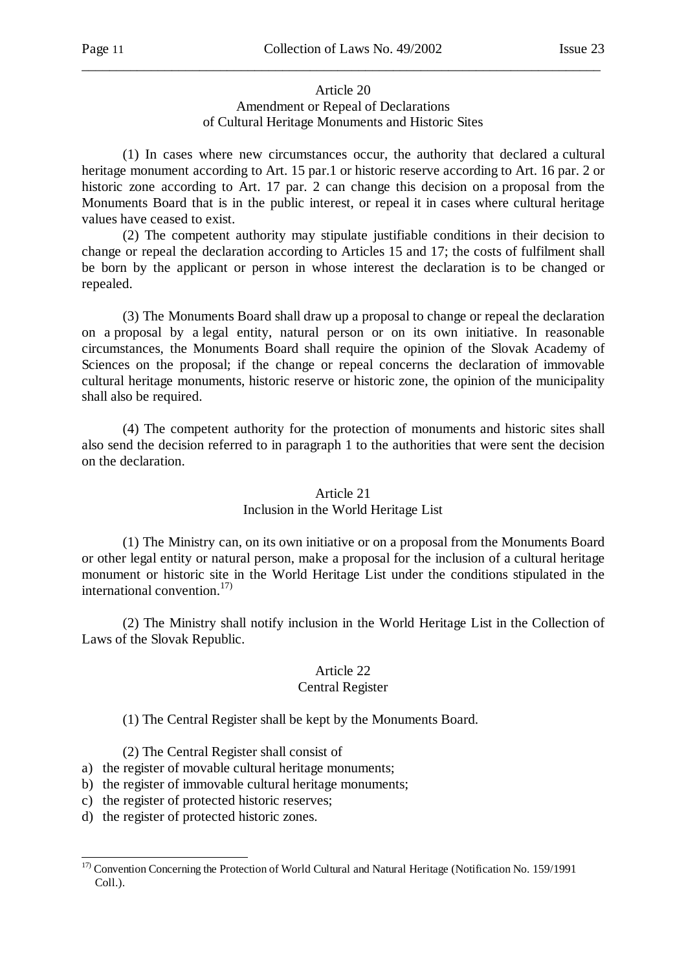# Article 20 Amendment or Repeal of Declarations of Cultural Heritage Monuments and Historic Sites

\_\_\_\_\_\_\_\_\_\_\_\_\_\_\_\_\_\_\_\_\_\_\_\_\_\_\_\_\_\_\_\_\_\_\_\_\_\_\_\_\_\_\_\_\_\_\_\_\_\_\_\_\_\_\_\_\_\_\_\_\_\_\_\_\_\_\_\_\_\_\_\_\_\_\_

 (1) In cases where new circumstances occur, the authority that declared a cultural heritage monument according to Art. 15 par.1 or historic reserve according to Art. 16 par. 2 or historic zone according to Art. 17 par. 2 can change this decision on a proposal from the Monuments Board that is in the public interest, or repeal it in cases where cultural heritage values have ceased to exist.

 (2) The competent authority may stipulate justifiable conditions in their decision to change or repeal the declaration according to Articles 15 and 17; the costs of fulfilment shall be born by the applicant or person in whose interest the declaration is to be changed or repealed.

 (3) The Monuments Board shall draw up a proposal to change or repeal the declaration on a proposal by a legal entity, natural person or on its own initiative. In reasonable circumstances, the Monuments Board shall require the opinion of the Slovak Academy of Sciences on the proposal; if the change or repeal concerns the declaration of immovable cultural heritage monuments, historic reserve or historic zone, the opinion of the municipality shall also be required.

 (4) The competent authority for the protection of monuments and historic sites shall also send the decision referred to in paragraph 1 to the authorities that were sent the decision on the declaration.

# Article 21 Inclusion in the World Heritage List

 (1) The Ministry can, on its own initiative or on a proposal from the Monuments Board or other legal entity or natural person, make a proposal for the inclusion of a cultural heritage monument or historic site in the World Heritage List under the conditions stipulated in the international convention. $17$ 

 (2) The Ministry shall notify inclusion in the World Heritage List in the Collection of Laws of the Slovak Republic.

# Article 22

# Central Register

(1) The Central Register shall be kept by the Monuments Board.

(2) The Central Register shall consist of

- a) the register of movable cultural heritage monuments;
- b) the register of immovable cultural heritage monuments;
- c) the register of protected historic reserves;
- d) the register of protected historic zones.

l

 $17)$  Convention Concerning the Protection of World Cultural and Natural Heritage (Notification No. 159/1991 Coll.).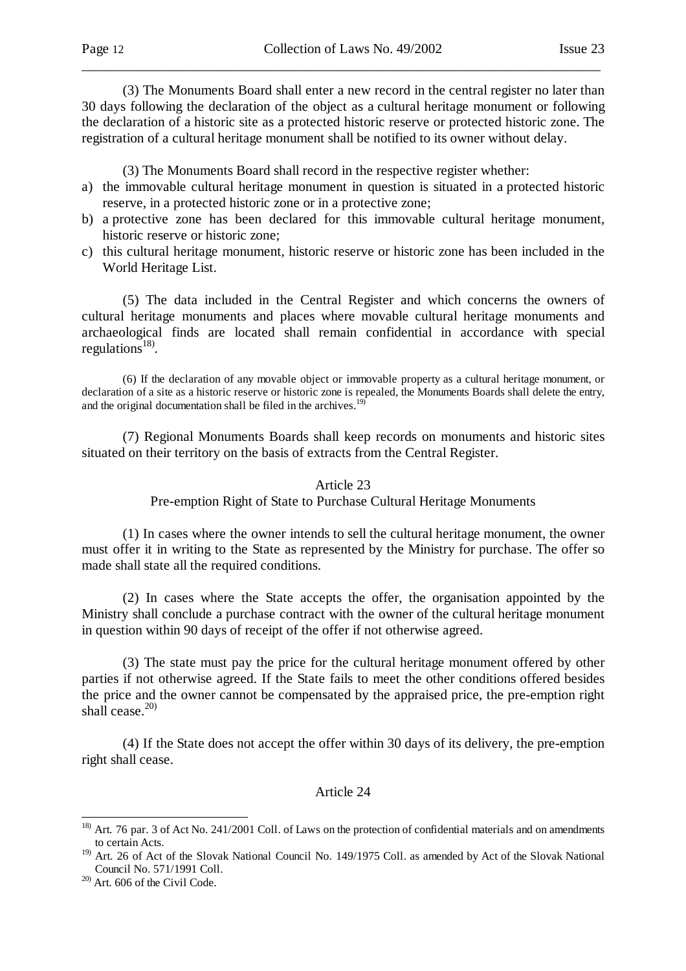(3) The Monuments Board shall enter a new record in the central register no later than 30 days following the declaration of the object as a cultural heritage monument or following the declaration of a historic site as a protected historic reserve or protected historic zone. The registration of a cultural heritage monument shall be notified to its owner without delay.

\_\_\_\_\_\_\_\_\_\_\_\_\_\_\_\_\_\_\_\_\_\_\_\_\_\_\_\_\_\_\_\_\_\_\_\_\_\_\_\_\_\_\_\_\_\_\_\_\_\_\_\_\_\_\_\_\_\_\_\_\_\_\_\_\_\_\_\_\_\_\_\_\_\_\_

(3) The Monuments Board shall record in the respective register whether:

- a) the immovable cultural heritage monument in question is situated in a protected historic reserve, in a protected historic zone or in a protective zone;
- b) a protective zone has been declared for this immovable cultural heritage monument, historic reserve or historic zone;
- c) this cultural heritage monument, historic reserve or historic zone has been included in the World Heritage List.

 (5) The data included in the Central Register and which concerns the owners of cultural heritage monuments and places where movable cultural heritage monuments and archaeological finds are located shall remain confidential in accordance with special regulations<sup>18)</sup>.

 (6) If the declaration of any movable object or immovable property as a cultural heritage monument, or declaration of a site as a historic reserve or historic zone is repealed, the Monuments Boards shall delete the entry, and the original documentation shall be filed in the archives.<sup>19)</sup>

 (7) Regional Monuments Boards shall keep records on monuments and historic sites situated on their territory on the basis of extracts from the Central Register.

#### Article 23

Pre-emption Right of State to Purchase Cultural Heritage Monuments

 (1) In cases where the owner intends to sell the cultural heritage monument, the owner must offer it in writing to the State as represented by the Ministry for purchase. The offer so made shall state all the required conditions.

 (2) In cases where the State accepts the offer, the organisation appointed by the Ministry shall conclude a purchase contract with the owner of the cultural heritage monument in question within 90 days of receipt of the offer if not otherwise agreed.

 (3) The state must pay the price for the cultural heritage monument offered by other parties if not otherwise agreed. If the State fails to meet the other conditions offered besides the price and the owner cannot be compensated by the appraised price, the pre-emption right shall cease. $20$ 

 (4) If the State does not accept the offer within 30 days of its delivery, the pre-emption right shall cease.

#### Article 24

l

<sup>&</sup>lt;sup>18)</sup> Art. 76 par. 3 of Act No. 241/2001 Coll. of Laws on the protection of confidential materials and on amendments to certain Acts.

<sup>&</sup>lt;sup>19)</sup> Art. 26 of Act of the Slovak National Council No. 149/1975 Coll. as amended by Act of the Slovak National Council No. 571/1991 Coll.

<sup>20)</sup> Art. 606 of the Civil Code.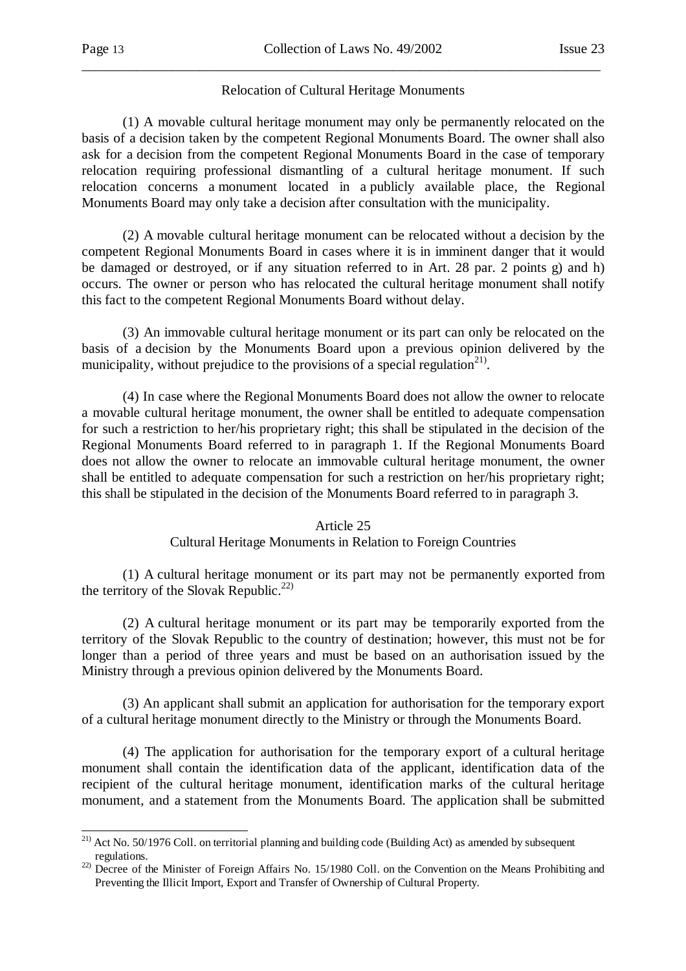### Relocation of Cultural Heritage Monuments

\_\_\_\_\_\_\_\_\_\_\_\_\_\_\_\_\_\_\_\_\_\_\_\_\_\_\_\_\_\_\_\_\_\_\_\_\_\_\_\_\_\_\_\_\_\_\_\_\_\_\_\_\_\_\_\_\_\_\_\_\_\_\_\_\_\_\_\_\_\_\_\_\_\_\_

 (1) A movable cultural heritage monument may only be permanently relocated on the basis of a decision taken by the competent Regional Monuments Board. The owner shall also ask for a decision from the competent Regional Monuments Board in the case of temporary relocation requiring professional dismantling of a cultural heritage monument. If such relocation concerns a monument located in a publicly available place, the Regional Monuments Board may only take a decision after consultation with the municipality.

 (2) A movable cultural heritage monument can be relocated without a decision by the competent Regional Monuments Board in cases where it is in imminent danger that it would be damaged or destroyed, or if any situation referred to in Art. 28 par. 2 points g) and h) occurs. The owner or person who has relocated the cultural heritage monument shall notify this fact to the competent Regional Monuments Board without delay.

 (3) An immovable cultural heritage monument or its part can only be relocated on the basis of a decision by the Monuments Board upon a previous opinion delivered by the municipality, without prejudice to the provisions of a special regulation<sup>21)</sup>.

 (4) In case where the Regional Monuments Board does not allow the owner to relocate a movable cultural heritage monument, the owner shall be entitled to adequate compensation for such a restriction to her/his proprietary right; this shall be stipulated in the decision of the Regional Monuments Board referred to in paragraph 1. If the Regional Monuments Board does not allow the owner to relocate an immovable cultural heritage monument, the owner shall be entitled to adequate compensation for such a restriction on her/his proprietary right; this shall be stipulated in the decision of the Monuments Board referred to in paragraph 3.

#### Article 25

#### Cultural Heritage Monuments in Relation to Foreign Countries

 (1) A cultural heritage monument or its part may not be permanently exported from the territory of the Slovak Republic.<sup>22)</sup>

 (2) A cultural heritage monument or its part may be temporarily exported from the territory of the Slovak Republic to the country of destination; however, this must not be for longer than a period of three years and must be based on an authorisation issued by the Ministry through a previous opinion delivered by the Monuments Board.

 (3) An applicant shall submit an application for authorisation for the temporary export of a cultural heritage monument directly to the Ministry or through the Monuments Board.

 (4) The application for authorisation for the temporary export of a cultural heritage monument shall contain the identification data of the applicant, identification data of the recipient of the cultural heritage monument, identification marks of the cultural heritage monument, and a statement from the Monuments Board. The application shall be submitted

<sup>-</sup><sup>21)</sup> Act No. 50/1976 Coll. on territorial planning and building code (Building Act) as amended by subsequent regulations.

<sup>&</sup>lt;sup>22)</sup> Decree of the Minister of Foreign Affairs No. 15/1980 Coll. on the Convention on the Means Prohibiting and Preventing the Illicit Import, Export and Transfer of Ownership of Cultural Property.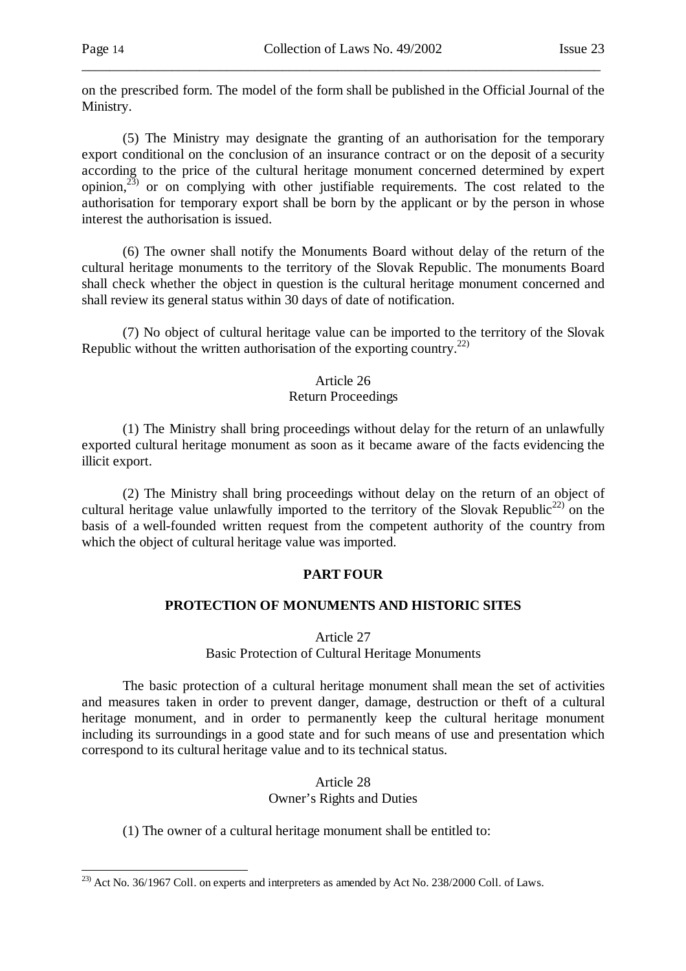-

on the prescribed form. The model of the form shall be published in the Official Journal of the Ministry.

\_\_\_\_\_\_\_\_\_\_\_\_\_\_\_\_\_\_\_\_\_\_\_\_\_\_\_\_\_\_\_\_\_\_\_\_\_\_\_\_\_\_\_\_\_\_\_\_\_\_\_\_\_\_\_\_\_\_\_\_\_\_\_\_\_\_\_\_\_\_\_\_\_\_\_

 (5) The Ministry may designate the granting of an authorisation for the temporary export conditional on the conclusion of an insurance contract or on the deposit of a security according to the price of the cultural heritage monument concerned determined by expert opinion, $^{23)}$  or on complying with other justifiable requirements. The cost related to the authorisation for temporary export shall be born by the applicant or by the person in whose interest the authorisation is issued.

 (6) The owner shall notify the Monuments Board without delay of the return of the cultural heritage monuments to the territory of the Slovak Republic. The monuments Board shall check whether the object in question is the cultural heritage monument concerned and shall review its general status within 30 days of date of notification.

 (7) No object of cultural heritage value can be imported to the territory of the Slovak Republic without the written authorisation of the exporting country.<sup>22)</sup>

### Article 26

#### Return Proceedings

 (1) The Ministry shall bring proceedings without delay for the return of an unlawfully exported cultural heritage monument as soon as it became aware of the facts evidencing the illicit export.

 (2) The Ministry shall bring proceedings without delay on the return of an object of cultural heritage value unlawfully imported to the territory of the Slovak Republic<sup>22)</sup> on the basis of a well-founded written request from the competent authority of the country from which the object of cultural heritage value was imported.

# **PART FOUR**

# **PROTECTION OF MONUMENTS AND HISTORIC SITES**

Article 27

Basic Protection of Cultural Heritage Monuments

 The basic protection of a cultural heritage monument shall mean the set of activities and measures taken in order to prevent danger, damage, destruction or theft of a cultural heritage monument, and in order to permanently keep the cultural heritage monument including its surroundings in a good state and for such means of use and presentation which correspond to its cultural heritage value and to its technical status.

### Article 28 Owner's Rights and Duties

(1) The owner of a cultural heritage monument shall be entitled to:

 $^{23)}$  Act No. 36/1967 Coll. on experts and interpreters as amended by Act No. 238/2000 Coll. of Laws.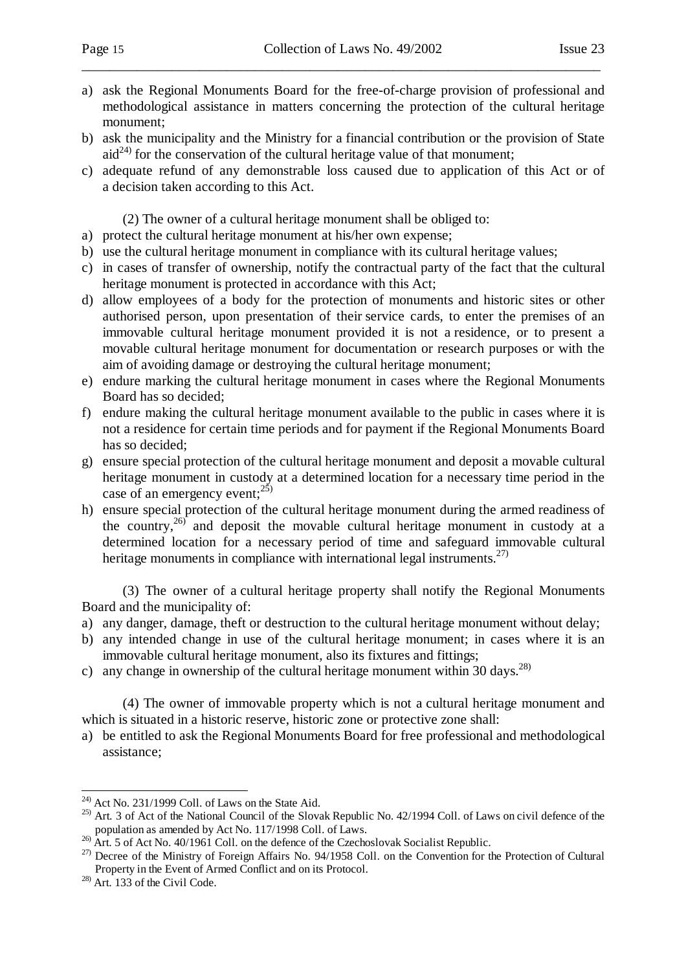a) ask the Regional Monuments Board for the free-of-charge provision of professional and methodological assistance in matters concerning the protection of the cultural heritage monument;

\_\_\_\_\_\_\_\_\_\_\_\_\_\_\_\_\_\_\_\_\_\_\_\_\_\_\_\_\_\_\_\_\_\_\_\_\_\_\_\_\_\_\_\_\_\_\_\_\_\_\_\_\_\_\_\_\_\_\_\_\_\_\_\_\_\_\_\_\_\_\_\_\_\_\_

- b) ask the municipality and the Ministry for a financial contribution or the provision of State  $\text{aid}^{24}$  for the conservation of the cultural heritage value of that monument;
- c) adequate refund of any demonstrable loss caused due to application of this Act or of a decision taken according to this Act.

(2) The owner of a cultural heritage monument shall be obliged to:

- a) protect the cultural heritage monument at his/her own expense;
- b) use the cultural heritage monument in compliance with its cultural heritage values;
- c) in cases of transfer of ownership, notify the contractual party of the fact that the cultural heritage monument is protected in accordance with this Act;
- d) allow employees of a body for the protection of monuments and historic sites or other authorised person, upon presentation of their service cards, to enter the premises of an immovable cultural heritage monument provided it is not a residence, or to present a movable cultural heritage monument for documentation or research purposes or with the aim of avoiding damage or destroying the cultural heritage monument;
- e) endure marking the cultural heritage monument in cases where the Regional Monuments Board has so decided;
- f) endure making the cultural heritage monument available to the public in cases where it is not a residence for certain time periods and for payment if the Regional Monuments Board has so decided;
- g) ensure special protection of the cultural heritage monument and deposit a movable cultural heritage monument in custody at a determined location for a necessary time period in the case of an emergency event;  $25$ )
- h) ensure special protection of the cultural heritage monument during the armed readiness of the country,  $26$  and deposit the movable cultural heritage monument in custody at a determined location for a necessary period of time and safeguard immovable cultural heritage monuments in compliance with international legal instruments.<sup>27)</sup>

 (3) The owner of a cultural heritage property shall notify the Regional Monuments Board and the municipality of:

- a) any danger, damage, theft or destruction to the cultural heritage monument without delay;
- b) any intended change in use of the cultural heritage monument; in cases where it is an immovable cultural heritage monument, also its fixtures and fittings;
- c) any change in ownership of the cultural heritage monument within 30 days.<sup>28)</sup>

 (4) The owner of immovable property which is not a cultural heritage monument and which is situated in a historic reserve, historic zone or protective zone shall:

a) be entitled to ask the Regional Monuments Board for free professional and methodological assistance;

-

 $^{24)}$  Act No. 231/1999 Coll. of Laws on the State Aid.

<sup>&</sup>lt;sup>25)</sup> Art. 3 of Act of the National Council of the Slovak Republic No. 42/1994 Coll. of Laws on civil defence of the population as amended by Act No. 117/1998 Coll. of Laws.

 $^{26)}$  Art. 5 of Act No. 40/1961 Coll. on the defence of the Czechoslovak Socialist Republic.

<sup>&</sup>lt;sup>27)</sup> Decree of the Ministry of Foreign Affairs No. 94/1958 Coll. on the Convention for the Protection of Cultural Property in the Event of Armed Conflict and on its Protocol.

 $28$ ) Art. 133 of the Civil Code.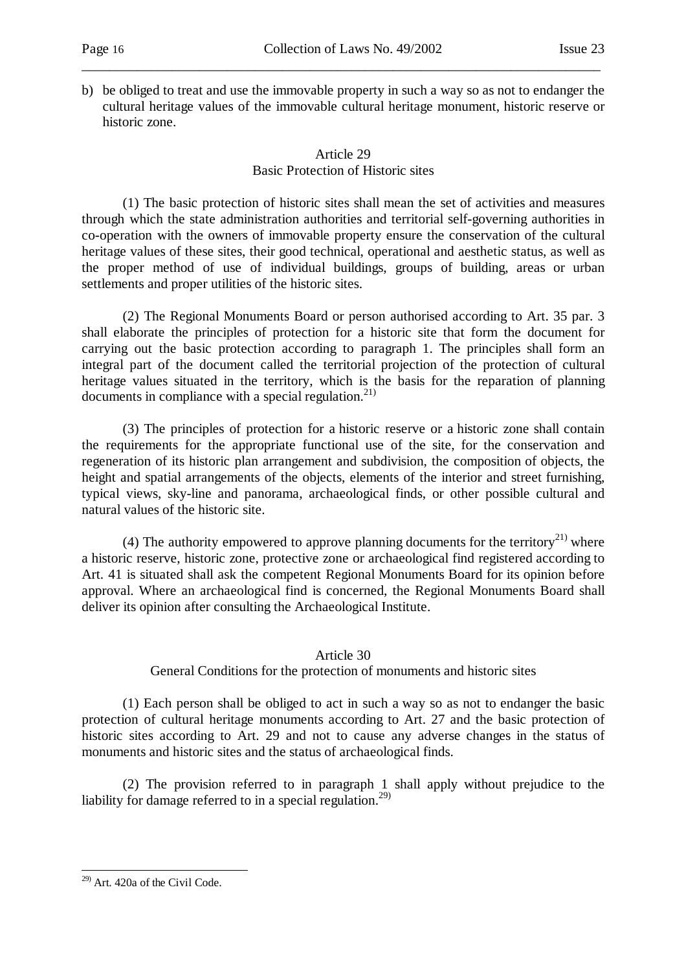b) be obliged to treat and use the immovable property in such a way so as not to endanger the cultural heritage values of the immovable cultural heritage monument, historic reserve or historic zone.

\_\_\_\_\_\_\_\_\_\_\_\_\_\_\_\_\_\_\_\_\_\_\_\_\_\_\_\_\_\_\_\_\_\_\_\_\_\_\_\_\_\_\_\_\_\_\_\_\_\_\_\_\_\_\_\_\_\_\_\_\_\_\_\_\_\_\_\_\_\_\_\_\_\_\_

# Article 29 Basic Protection of Historic sites

 (1) The basic protection of historic sites shall mean the set of activities and measures through which the state administration authorities and territorial self-governing authorities in co-operation with the owners of immovable property ensure the conservation of the cultural heritage values of these sites, their good technical, operational and aesthetic status, as well as the proper method of use of individual buildings, groups of building, areas or urban settlements and proper utilities of the historic sites.

 (2) The Regional Monuments Board or person authorised according to Art. 35 par. 3 shall elaborate the principles of protection for a historic site that form the document for carrying out the basic protection according to paragraph 1. The principles shall form an integral part of the document called the territorial projection of the protection of cultural heritage values situated in the territory, which is the basis for the reparation of planning documents in compliance with a special regulation.<sup>21)</sup>

 (3) The principles of protection for a historic reserve or a historic zone shall contain the requirements for the appropriate functional use of the site, for the conservation and regeneration of its historic plan arrangement and subdivision, the composition of objects, the height and spatial arrangements of the objects, elements of the interior and street furnishing, typical views, sky-line and panorama, archaeological finds, or other possible cultural and natural values of the historic site.

(4) The authority empowered to approve planning documents for the territory<sup>21)</sup> where a historic reserve, historic zone, protective zone or archaeological find registered according to Art. 41 is situated shall ask the competent Regional Monuments Board for its opinion before approval. Where an archaeological find is concerned, the Regional Monuments Board shall deliver its opinion after consulting the Archaeological Institute.

# Article 30

General Conditions for the protection of monuments and historic sites

 (1) Each person shall be obliged to act in such a way so as not to endanger the basic protection of cultural heritage monuments according to Art. 27 and the basic protection of historic sites according to Art. 29 and not to cause any adverse changes in the status of monuments and historic sites and the status of archaeological finds.

 (2) The provision referred to in paragraph 1 shall apply without prejudice to the liability for damage referred to in a special regulation.<sup>29)</sup>

<sup>-</sup> $29$ ) Art. 420a of the Civil Code.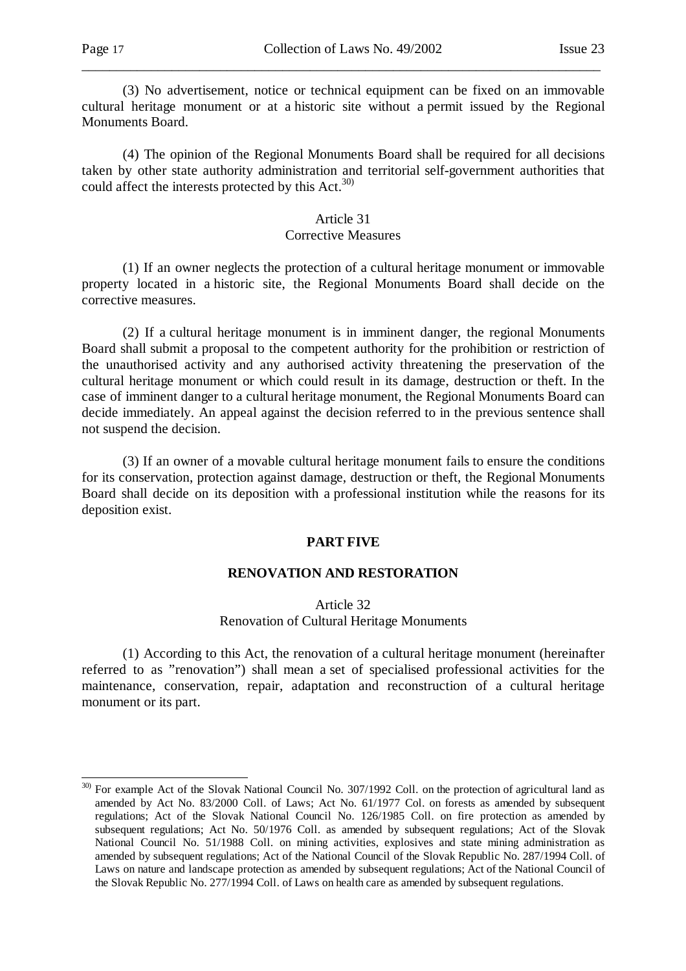(3) No advertisement, notice or technical equipment can be fixed on an immovable cultural heritage monument or at a historic site without a permit issued by the Regional Monuments Board.

\_\_\_\_\_\_\_\_\_\_\_\_\_\_\_\_\_\_\_\_\_\_\_\_\_\_\_\_\_\_\_\_\_\_\_\_\_\_\_\_\_\_\_\_\_\_\_\_\_\_\_\_\_\_\_\_\_\_\_\_\_\_\_\_\_\_\_\_\_\_\_\_\_\_\_

 (4) The opinion of the Regional Monuments Board shall be required for all decisions taken by other state authority administration and territorial self-government authorities that could affect the interests protected by this  $Act^{30}$ .

#### Article 31

### Corrective Measures

 (1) If an owner neglects the protection of a cultural heritage monument or immovable property located in a historic site, the Regional Monuments Board shall decide on the corrective measures.

 (2) If a cultural heritage monument is in imminent danger, the regional Monuments Board shall submit a proposal to the competent authority for the prohibition or restriction of the unauthorised activity and any authorised activity threatening the preservation of the cultural heritage monument or which could result in its damage, destruction or theft. In the case of imminent danger to a cultural heritage monument, the Regional Monuments Board can decide immediately. An appeal against the decision referred to in the previous sentence shall not suspend the decision.

 (3) If an owner of a movable cultural heritage monument fails to ensure the conditions for its conservation, protection against damage, destruction or theft, the Regional Monuments Board shall decide on its deposition with a professional institution while the reasons for its deposition exist.

#### **PART FIVE**

# **RENOVATION AND RESTORATION**

### Article 32 Renovation of Cultural Heritage Monuments

 (1) According to this Act, the renovation of a cultural heritage monument (hereinafter referred to as "renovation") shall mean a set of specialised professional activities for the maintenance, conservation, repair, adaptation and reconstruction of a cultural heritage monument or its part.

<sup>&</sup>lt;sup>30)</sup> For example Act of the Slovak National Council No. 307/1992 Coll. on the protection of agricultural land as amended by Act No. 83/2000 Coll. of Laws; Act No. 61/1977 Col. on forests as amended by subsequent regulations; Act of the Slovak National Council No. 126/1985 Coll. on fire protection as amended by subsequent regulations; Act No. 50/1976 Coll. as amended by subsequent regulations; Act of the Slovak National Council No. 51/1988 Coll. on mining activities, explosives and state mining administration as amended by subsequent regulations; Act of the National Council of the Slovak Republic No. 287/1994 Coll. of Laws on nature and landscape protection as amended by subsequent regulations; Act of the National Council of the Slovak Republic No. 277/1994 Coll. of Laws on health care as amended by subsequent regulations.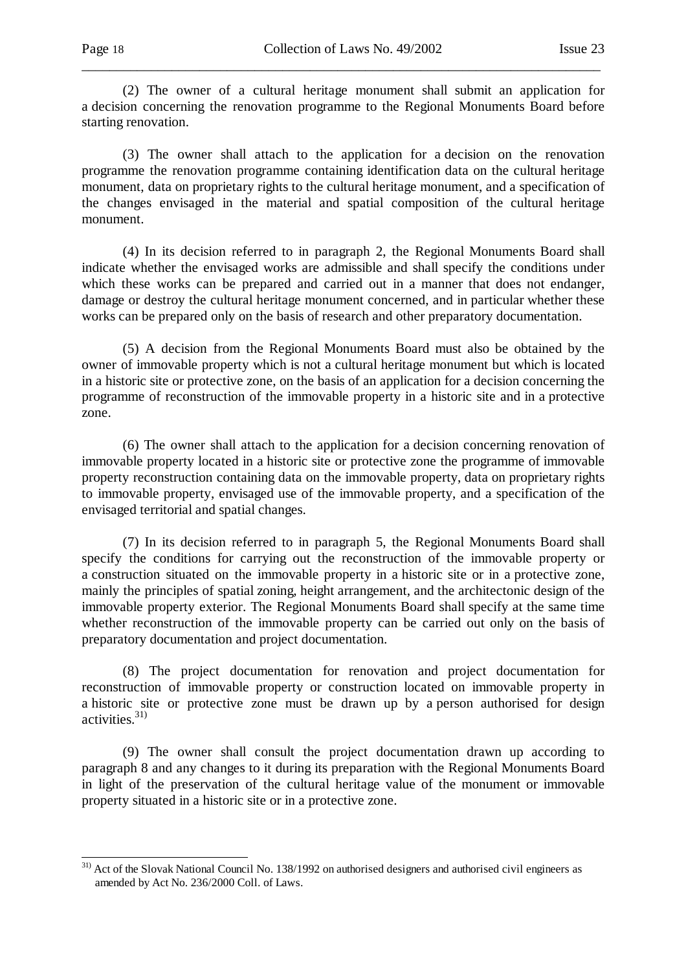(2) The owner of a cultural heritage monument shall submit an application for a decision concerning the renovation programme to the Regional Monuments Board before starting renovation.

\_\_\_\_\_\_\_\_\_\_\_\_\_\_\_\_\_\_\_\_\_\_\_\_\_\_\_\_\_\_\_\_\_\_\_\_\_\_\_\_\_\_\_\_\_\_\_\_\_\_\_\_\_\_\_\_\_\_\_\_\_\_\_\_\_\_\_\_\_\_\_\_\_\_\_

 (3) The owner shall attach to the application for a decision on the renovation programme the renovation programme containing identification data on the cultural heritage monument, data on proprietary rights to the cultural heritage monument, and a specification of the changes envisaged in the material and spatial composition of the cultural heritage monument.

 (4) In its decision referred to in paragraph 2, the Regional Monuments Board shall indicate whether the envisaged works are admissible and shall specify the conditions under which these works can be prepared and carried out in a manner that does not endanger, damage or destroy the cultural heritage monument concerned, and in particular whether these works can be prepared only on the basis of research and other preparatory documentation.

 (5) A decision from the Regional Monuments Board must also be obtained by the owner of immovable property which is not a cultural heritage monument but which is located in a historic site or protective zone, on the basis of an application for a decision concerning the programme of reconstruction of the immovable property in a historic site and in a protective zone.

 (6) The owner shall attach to the application for a decision concerning renovation of immovable property located in a historic site or protective zone the programme of immovable property reconstruction containing data on the immovable property, data on proprietary rights to immovable property, envisaged use of the immovable property, and a specification of the envisaged territorial and spatial changes.

 (7) In its decision referred to in paragraph 5, the Regional Monuments Board shall specify the conditions for carrying out the reconstruction of the immovable property or a construction situated on the immovable property in a historic site or in a protective zone, mainly the principles of spatial zoning, height arrangement, and the architectonic design of the immovable property exterior. The Regional Monuments Board shall specify at the same time whether reconstruction of the immovable property can be carried out only on the basis of preparatory documentation and project documentation.

 (8) The project documentation for renovation and project documentation for reconstruction of immovable property or construction located on immovable property in a historic site or protective zone must be drawn up by a person authorised for design  $\arctivities.<sup>31</sup>$ 

 (9) The owner shall consult the project documentation drawn up according to paragraph 8 and any changes to it during its preparation with the Regional Monuments Board in light of the preservation of the cultural heritage value of the monument or immovable property situated in a historic site or in a protective zone.

<sup>&</sup>lt;sup>31)</sup> Act of the Slovak National Council No. 138/1992 on authorised designers and authorised civil engineers as amended by Act No. 236/2000 Coll. of Laws.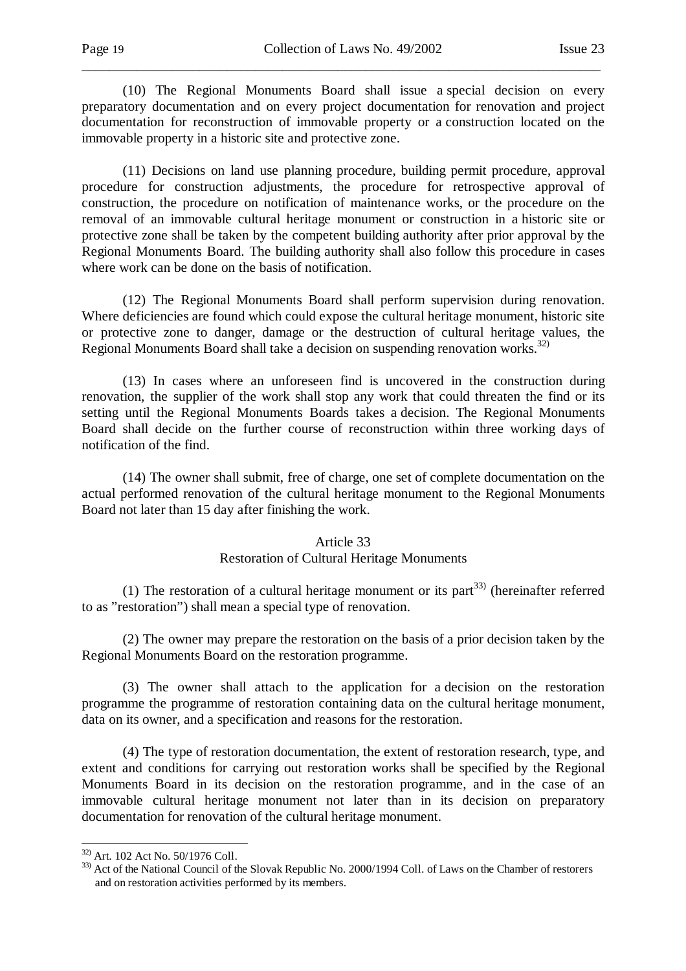(10) The Regional Monuments Board shall issue a special decision on every preparatory documentation and on every project documentation for renovation and project documentation for reconstruction of immovable property or a construction located on the immovable property in a historic site and protective zone.

\_\_\_\_\_\_\_\_\_\_\_\_\_\_\_\_\_\_\_\_\_\_\_\_\_\_\_\_\_\_\_\_\_\_\_\_\_\_\_\_\_\_\_\_\_\_\_\_\_\_\_\_\_\_\_\_\_\_\_\_\_\_\_\_\_\_\_\_\_\_\_\_\_\_\_

 (11) Decisions on land use planning procedure, building permit procedure, approval procedure for construction adjustments, the procedure for retrospective approval of construction, the procedure on notification of maintenance works, or the procedure on the removal of an immovable cultural heritage monument or construction in a historic site or protective zone shall be taken by the competent building authority after prior approval by the Regional Monuments Board. The building authority shall also follow this procedure in cases where work can be done on the basis of notification.

 (12) The Regional Monuments Board shall perform supervision during renovation. Where deficiencies are found which could expose the cultural heritage monument, historic site or protective zone to danger, damage or the destruction of cultural heritage values, the Regional Monuments Board shall take a decision on suspending renovation works.32)

 (13) In cases where an unforeseen find is uncovered in the construction during renovation, the supplier of the work shall stop any work that could threaten the find or its setting until the Regional Monuments Boards takes a decision. The Regional Monuments Board shall decide on the further course of reconstruction within three working days of notification of the find.

 (14) The owner shall submit, free of charge, one set of complete documentation on the actual performed renovation of the cultural heritage monument to the Regional Monuments Board not later than 15 day after finishing the work.

# Article 33

#### Restoration of Cultural Heritage Monuments

(1) The restoration of a cultural heritage monument or its part<sup>33)</sup> (hereinafter referred to as "restoration") shall mean a special type of renovation.

 (2) The owner may prepare the restoration on the basis of a prior decision taken by the Regional Monuments Board on the restoration programme.

 (3) The owner shall attach to the application for a decision on the restoration programme the programme of restoration containing data on the cultural heritage monument, data on its owner, and a specification and reasons for the restoration.

 (4) The type of restoration documentation, the extent of restoration research, type, and extent and conditions for carrying out restoration works shall be specified by the Regional Monuments Board in its decision on the restoration programme, and in the case of an immovable cultural heritage monument not later than in its decision on preparatory documentation for renovation of the cultural heritage monument.

l 32) Art. 102 Act No. 50/1976 Coll.

<sup>33)</sup> Act of the National Council of the Slovak Republic No. 2000/1994 Coll. of Laws on the Chamber of restorers and on restoration activities performed by its members.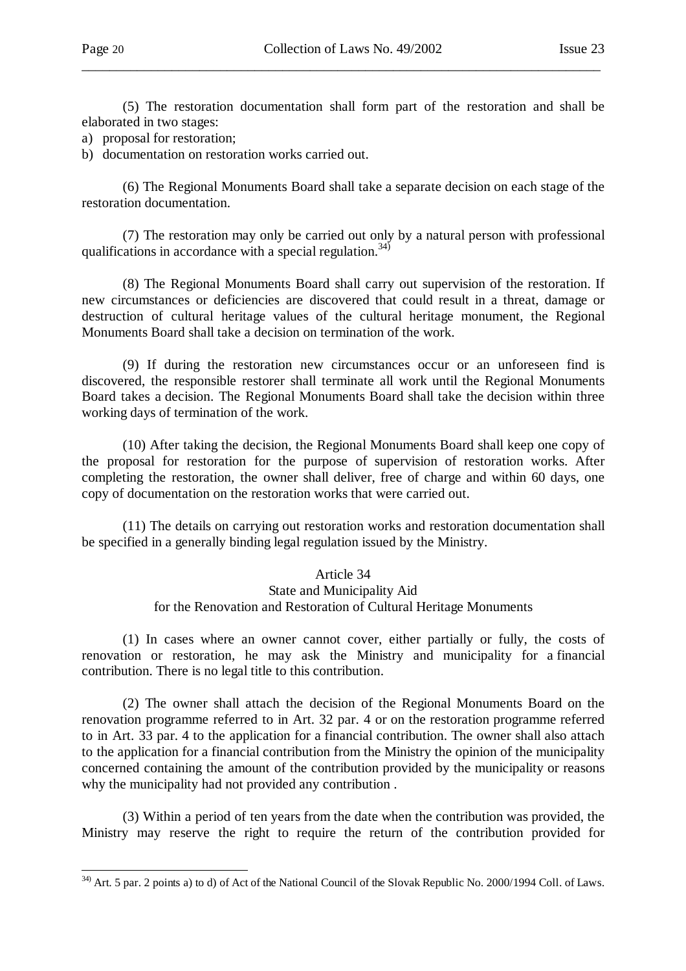-

 (5) The restoration documentation shall form part of the restoration and shall be elaborated in two stages:

\_\_\_\_\_\_\_\_\_\_\_\_\_\_\_\_\_\_\_\_\_\_\_\_\_\_\_\_\_\_\_\_\_\_\_\_\_\_\_\_\_\_\_\_\_\_\_\_\_\_\_\_\_\_\_\_\_\_\_\_\_\_\_\_\_\_\_\_\_\_\_\_\_\_\_

a) proposal for restoration;

b) documentation on restoration works carried out.

 (6) The Regional Monuments Board shall take a separate decision on each stage of the restoration documentation.

 (7) The restoration may only be carried out only by a natural person with professional qualifications in accordance with a special regulation.<sup>34)</sup>

 (8) The Regional Monuments Board shall carry out supervision of the restoration. If new circumstances or deficiencies are discovered that could result in a threat, damage or destruction of cultural heritage values of the cultural heritage monument, the Regional Monuments Board shall take a decision on termination of the work.

 (9) If during the restoration new circumstances occur or an unforeseen find is discovered, the responsible restorer shall terminate all work until the Regional Monuments Board takes a decision. The Regional Monuments Board shall take the decision within three working days of termination of the work.

 (10) After taking the decision, the Regional Monuments Board shall keep one copy of the proposal for restoration for the purpose of supervision of restoration works. After completing the restoration, the owner shall deliver, free of charge and within 60 days, one copy of documentation on the restoration works that were carried out.

 (11) The details on carrying out restoration works and restoration documentation shall be specified in a generally binding legal regulation issued by the Ministry.

# Article 34 State and Municipality Aid for the Renovation and Restoration of Cultural Heritage Monuments

 (1) In cases where an owner cannot cover, either partially or fully, the costs of renovation or restoration, he may ask the Ministry and municipality for a financial contribution. There is no legal title to this contribution.

 (2) The owner shall attach the decision of the Regional Monuments Board on the renovation programme referred to in Art. 32 par. 4 or on the restoration programme referred to in Art. 33 par. 4 to the application for a financial contribution. The owner shall also attach to the application for a financial contribution from the Ministry the opinion of the municipality concerned containing the amount of the contribution provided by the municipality or reasons why the municipality had not provided any contribution .

 (3) Within a period of ten years from the date when the contribution was provided, the Ministry may reserve the right to require the return of the contribution provided for

 $34)$  Art. 5 par. 2 points a) to d) of Act of the National Council of the Slovak Republic No. 2000/1994 Coll. of Laws.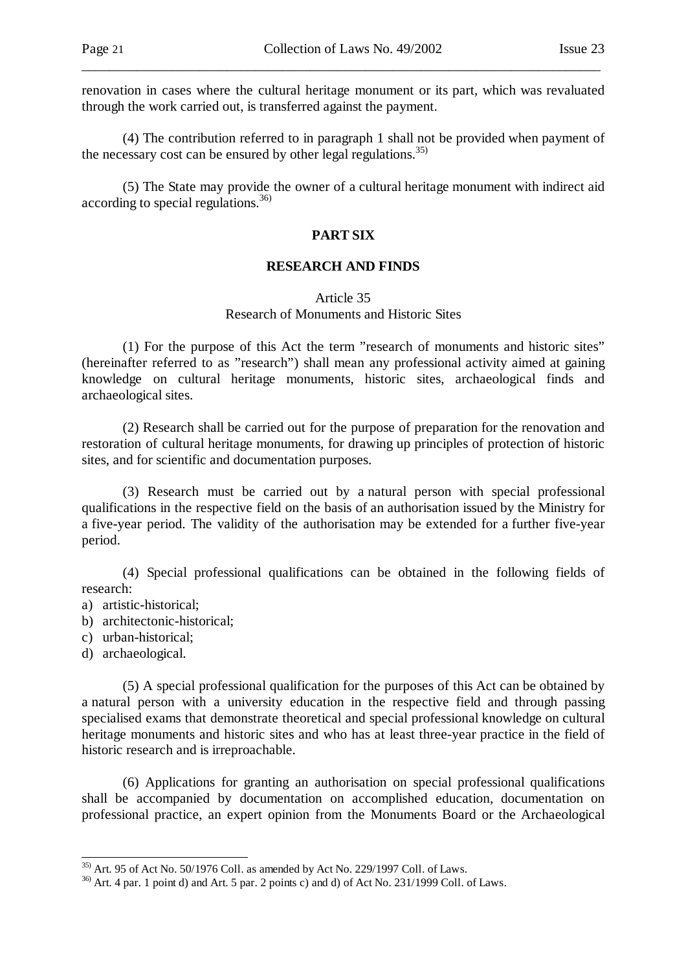renovation in cases where the cultural heritage monument or its part, which was revaluated through the work carried out, is transferred against the payment.

\_\_\_\_\_\_\_\_\_\_\_\_\_\_\_\_\_\_\_\_\_\_\_\_\_\_\_\_\_\_\_\_\_\_\_\_\_\_\_\_\_\_\_\_\_\_\_\_\_\_\_\_\_\_\_\_\_\_\_\_\_\_\_\_\_\_\_\_\_\_\_\_\_\_\_

 (4) The contribution referred to in paragraph 1 shall not be provided when payment of the necessary cost can be ensured by other legal regulations.<sup>35)</sup>

 (5) The State may provide the owner of a cultural heritage monument with indirect aid according to special regulations.<sup>36)</sup>

### **PART SIX**

#### **RESEARCH AND FINDS**

### Article 35 Research of Monuments and Historic Sites

 (1) For the purpose of this Act the term "research of monuments and historic sites" (hereinafter referred to as "research") shall mean any professional activity aimed at gaining knowledge on cultural heritage monuments, historic sites, archaeological finds and archaeological sites.

 (2) Research shall be carried out for the purpose of preparation for the renovation and restoration of cultural heritage monuments, for drawing up principles of protection of historic sites, and for scientific and documentation purposes.

 (3) Research must be carried out by a natural person with special professional qualifications in the respective field on the basis of an authorisation issued by the Ministry for a five-year period. The validity of the authorisation may be extended for a further five-year period.

 (4) Special professional qualifications can be obtained in the following fields of research:

- a) artistic-historical;
- b) architectonic-historical;
- c) urban-historical;
- d) archaeological.

l

 (5) A special professional qualification for the purposes of this Act can be obtained by a natural person with a university education in the respective field and through passing specialised exams that demonstrate theoretical and special professional knowledge on cultural heritage monuments and historic sites and who has at least three-year practice in the field of historic research and is irreproachable.

 (6) Applications for granting an authorisation on special professional qualifications shall be accompanied by documentation on accomplished education, documentation on professional practice, an expert opinion from the Monuments Board or the Archaeological

 $35$ ) Art. 95 of Act No. 50/1976 Coll. as amended by Act No. 229/1997 Coll. of Laws.

 $36)$  Art. 4 par. 1 point d) and Art. 5 par. 2 points c) and d) of Act No. 231/1999 Coll. of Laws.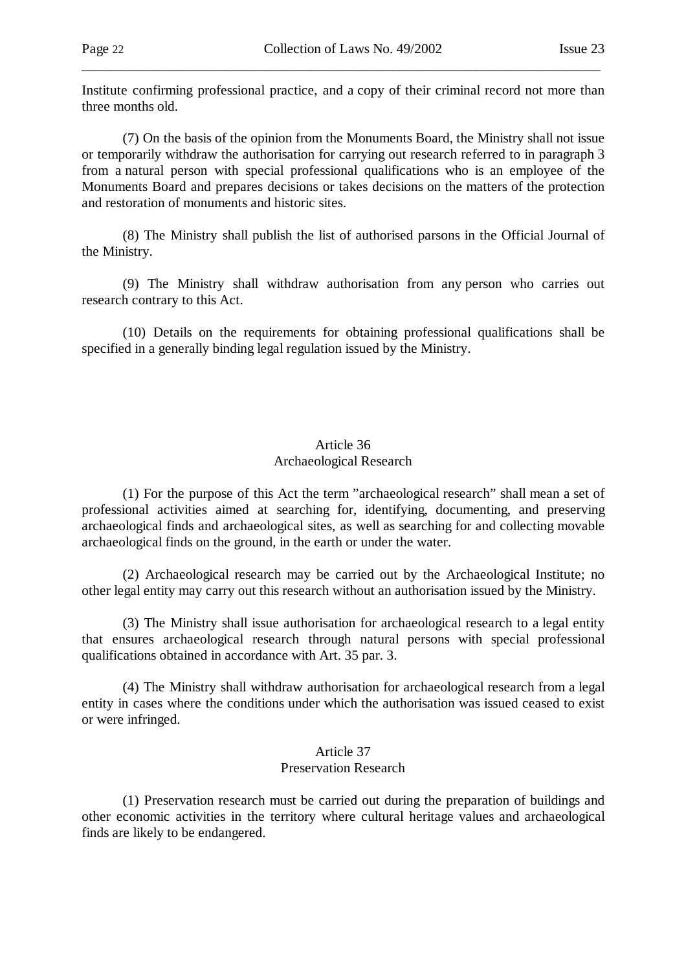Institute confirming professional practice, and a copy of their criminal record not more than three months old.

\_\_\_\_\_\_\_\_\_\_\_\_\_\_\_\_\_\_\_\_\_\_\_\_\_\_\_\_\_\_\_\_\_\_\_\_\_\_\_\_\_\_\_\_\_\_\_\_\_\_\_\_\_\_\_\_\_\_\_\_\_\_\_\_\_\_\_\_\_\_\_\_\_\_\_

 (7) On the basis of the opinion from the Monuments Board, the Ministry shall not issue or temporarily withdraw the authorisation for carrying out research referred to in paragraph 3 from a natural person with special professional qualifications who is an employee of the Monuments Board and prepares decisions or takes decisions on the matters of the protection and restoration of monuments and historic sites.

 (8) The Ministry shall publish the list of authorised parsons in the Official Journal of the Ministry.

 (9) The Ministry shall withdraw authorisation from any person who carries out research contrary to this Act.

 (10) Details on the requirements for obtaining professional qualifications shall be specified in a generally binding legal regulation issued by the Ministry.

# Article 36 Archaeological Research

 (1) For the purpose of this Act the term "archaeological research" shall mean a set of professional activities aimed at searching for, identifying, documenting, and preserving archaeological finds and archaeological sites, as well as searching for and collecting movable archaeological finds on the ground, in the earth or under the water.

 (2) Archaeological research may be carried out by the Archaeological Institute; no other legal entity may carry out this research without an authorisation issued by the Ministry.

 (3) The Ministry shall issue authorisation for archaeological research to a legal entity that ensures archaeological research through natural persons with special professional qualifications obtained in accordance with Art. 35 par. 3.

 (4) The Ministry shall withdraw authorisation for archaeological research from a legal entity in cases where the conditions under which the authorisation was issued ceased to exist or were infringed.

# Article 37 Preservation Research

 (1) Preservation research must be carried out during the preparation of buildings and other economic activities in the territory where cultural heritage values and archaeological finds are likely to be endangered.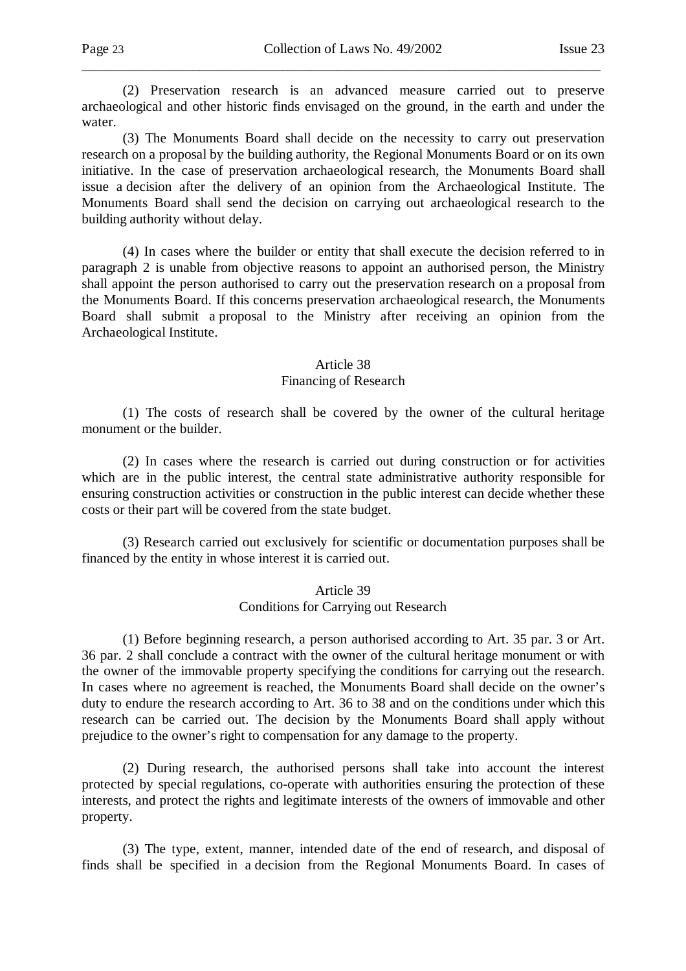(2) Preservation research is an advanced measure carried out to preserve archaeological and other historic finds envisaged on the ground, in the earth and under the water.

\_\_\_\_\_\_\_\_\_\_\_\_\_\_\_\_\_\_\_\_\_\_\_\_\_\_\_\_\_\_\_\_\_\_\_\_\_\_\_\_\_\_\_\_\_\_\_\_\_\_\_\_\_\_\_\_\_\_\_\_\_\_\_\_\_\_\_\_\_\_\_\_\_\_\_

 (3) The Monuments Board shall decide on the necessity to carry out preservation research on a proposal by the building authority, the Regional Monuments Board or on its own initiative. In the case of preservation archaeological research, the Monuments Board shall issue a decision after the delivery of an opinion from the Archaeological Institute. The Monuments Board shall send the decision on carrying out archaeological research to the building authority without delay.

 (4) In cases where the builder or entity that shall execute the decision referred to in paragraph 2 is unable from objective reasons to appoint an authorised person, the Ministry shall appoint the person authorised to carry out the preservation research on a proposal from the Monuments Board. If this concerns preservation archaeological research, the Monuments Board shall submit a proposal to the Ministry after receiving an opinion from the Archaeological Institute.

#### Article 38

#### Financing of Research

 (1) The costs of research shall be covered by the owner of the cultural heritage monument or the builder.

 (2) In cases where the research is carried out during construction or for activities which are in the public interest, the central state administrative authority responsible for ensuring construction activities or construction in the public interest can decide whether these costs or their part will be covered from the state budget.

 (3) Research carried out exclusively for scientific or documentation purposes shall be financed by the entity in whose interest it is carried out.

#### Article 39 Conditions for Carrying out Research

 (1) Before beginning research, a person authorised according to Art. 35 par. 3 or Art. 36 par. 2 shall conclude a contract with the owner of the cultural heritage monument or with the owner of the immovable property specifying the conditions for carrying out the research. In cases where no agreement is reached, the Monuments Board shall decide on the owner's duty to endure the research according to Art. 36 to 38 and on the conditions under which this research can be carried out. The decision by the Monuments Board shall apply without prejudice to the owner's right to compensation for any damage to the property.

 (2) During research, the authorised persons shall take into account the interest protected by special regulations, co-operate with authorities ensuring the protection of these interests, and protect the rights and legitimate interests of the owners of immovable and other property.

 (3) The type, extent, manner, intended date of the end of research, and disposal of finds shall be specified in a decision from the Regional Monuments Board. In cases of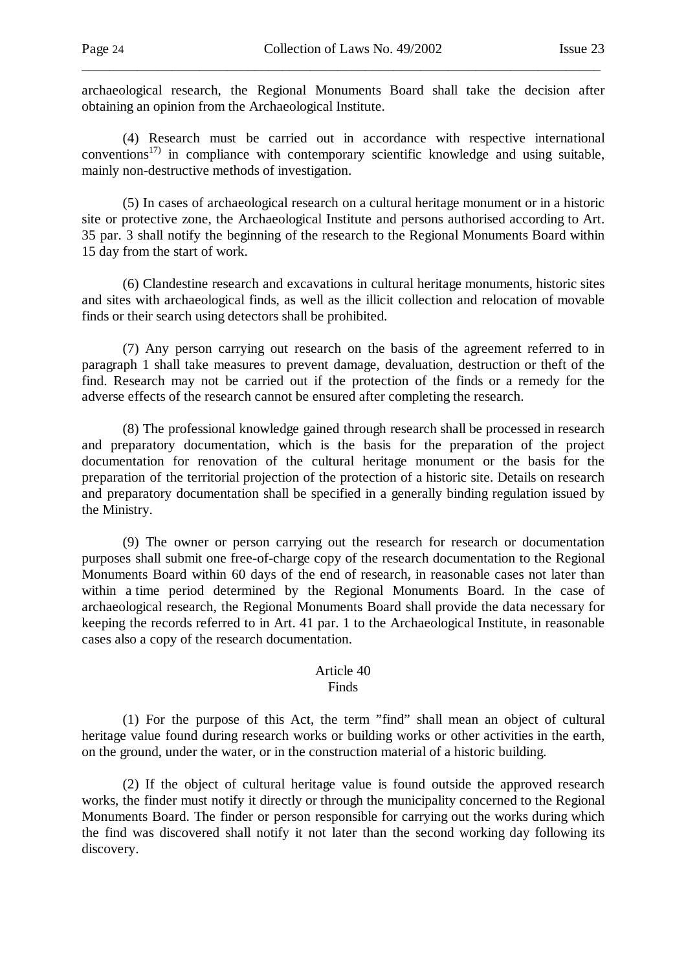archaeological research, the Regional Monuments Board shall take the decision after obtaining an opinion from the Archaeological Institute.

\_\_\_\_\_\_\_\_\_\_\_\_\_\_\_\_\_\_\_\_\_\_\_\_\_\_\_\_\_\_\_\_\_\_\_\_\_\_\_\_\_\_\_\_\_\_\_\_\_\_\_\_\_\_\_\_\_\_\_\_\_\_\_\_\_\_\_\_\_\_\_\_\_\_\_

 (4) Research must be carried out in accordance with respective international conventions<sup>17)</sup> in compliance with contemporary scientific knowledge and using suitable, mainly non-destructive methods of investigation.

 (5) In cases of archaeological research on a cultural heritage monument or in a historic site or protective zone, the Archaeological Institute and persons authorised according to Art. 35 par. 3 shall notify the beginning of the research to the Regional Monuments Board within 15 day from the start of work.

 (6) Clandestine research and excavations in cultural heritage monuments, historic sites and sites with archaeological finds, as well as the illicit collection and relocation of movable finds or their search using detectors shall be prohibited.

 (7) Any person carrying out research on the basis of the agreement referred to in paragraph 1 shall take measures to prevent damage, devaluation, destruction or theft of the find. Research may not be carried out if the protection of the finds or a remedy for the adverse effects of the research cannot be ensured after completing the research.

 (8) The professional knowledge gained through research shall be processed in research and preparatory documentation, which is the basis for the preparation of the project documentation for renovation of the cultural heritage monument or the basis for the preparation of the territorial projection of the protection of a historic site. Details on research and preparatory documentation shall be specified in a generally binding regulation issued by the Ministry.

 (9) The owner or person carrying out the research for research or documentation purposes shall submit one free-of-charge copy of the research documentation to the Regional Monuments Board within 60 days of the end of research, in reasonable cases not later than within a time period determined by the Regional Monuments Board. In the case of archaeological research, the Regional Monuments Board shall provide the data necessary for keeping the records referred to in Art. 41 par. 1 to the Archaeological Institute, in reasonable cases also a copy of the research documentation.

#### Article 40 Finds

 (1) For the purpose of this Act, the term "find" shall mean an object of cultural heritage value found during research works or building works or other activities in the earth, on the ground, under the water, or in the construction material of a historic building.

 (2) If the object of cultural heritage value is found outside the approved research works, the finder must notify it directly or through the municipality concerned to the Regional Monuments Board. The finder or person responsible for carrying out the works during which the find was discovered shall notify it not later than the second working day following its discovery.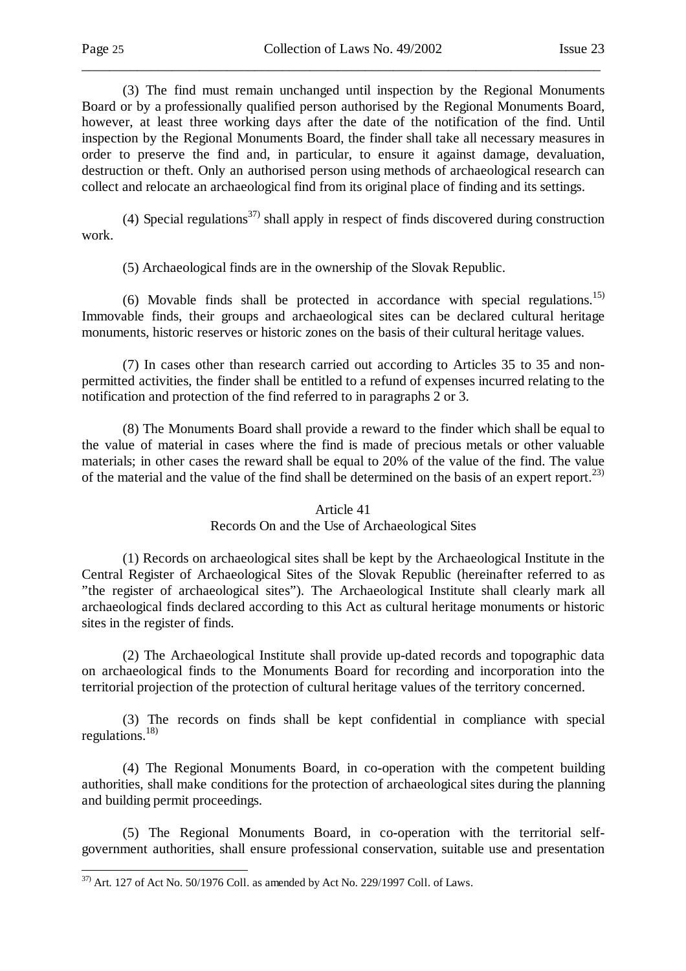-

\_\_\_\_\_\_\_\_\_\_\_\_\_\_\_\_\_\_\_\_\_\_\_\_\_\_\_\_\_\_\_\_\_\_\_\_\_\_\_\_\_\_\_\_\_\_\_\_\_\_\_\_\_\_\_\_\_\_\_\_\_\_\_\_\_\_\_\_\_\_\_\_\_\_\_

 (3) The find must remain unchanged until inspection by the Regional Monuments Board or by a professionally qualified person authorised by the Regional Monuments Board, however, at least three working days after the date of the notification of the find. Until inspection by the Regional Monuments Board, the finder shall take all necessary measures in order to preserve the find and, in particular, to ensure it against damage, devaluation, destruction or theft. Only an authorised person using methods of archaeological research can collect and relocate an archaeological find from its original place of finding and its settings.

(4) Special regulations<sup>37)</sup> shall apply in respect of finds discovered during construction work.

(5) Archaeological finds are in the ownership of the Slovak Republic.

(6) Movable finds shall be protected in accordance with special regulations.<sup>15)</sup> Immovable finds, their groups and archaeological sites can be declared cultural heritage monuments, historic reserves or historic zones on the basis of their cultural heritage values.

 (7) In cases other than research carried out according to Articles 35 to 35 and nonpermitted activities, the finder shall be entitled to a refund of expenses incurred relating to the notification and protection of the find referred to in paragraphs 2 or 3.

 (8) The Monuments Board shall provide a reward to the finder which shall be equal to the value of material in cases where the find is made of precious metals or other valuable materials; in other cases the reward shall be equal to 20% of the value of the find. The value of the material and the value of the find shall be determined on the basis of an expert report.<sup>23)</sup>

#### Article 41

#### Records On and the Use of Archaeological Sites

 (1) Records on archaeological sites shall be kept by the Archaeological Institute in the Central Register of Archaeological Sites of the Slovak Republic (hereinafter referred to as "the register of archaeological sites"). The Archaeological Institute shall clearly mark all archaeological finds declared according to this Act as cultural heritage monuments or historic sites in the register of finds.

 (2) The Archaeological Institute shall provide up-dated records and topographic data on archaeological finds to the Monuments Board for recording and incorporation into the territorial projection of the protection of cultural heritage values of the territory concerned.

 (3) The records on finds shall be kept confidential in compliance with special regulations. $^{18)}$ 

 (4) The Regional Monuments Board, in co-operation with the competent building authorities, shall make conditions for the protection of archaeological sites during the planning and building permit proceedings.

 (5) The Regional Monuments Board, in co-operation with the territorial selfgovernment authorities, shall ensure professional conservation, suitable use and presentation

 $37)$  Art. 127 of Act No. 50/1976 Coll. as amended by Act No. 229/1997 Coll. of Laws.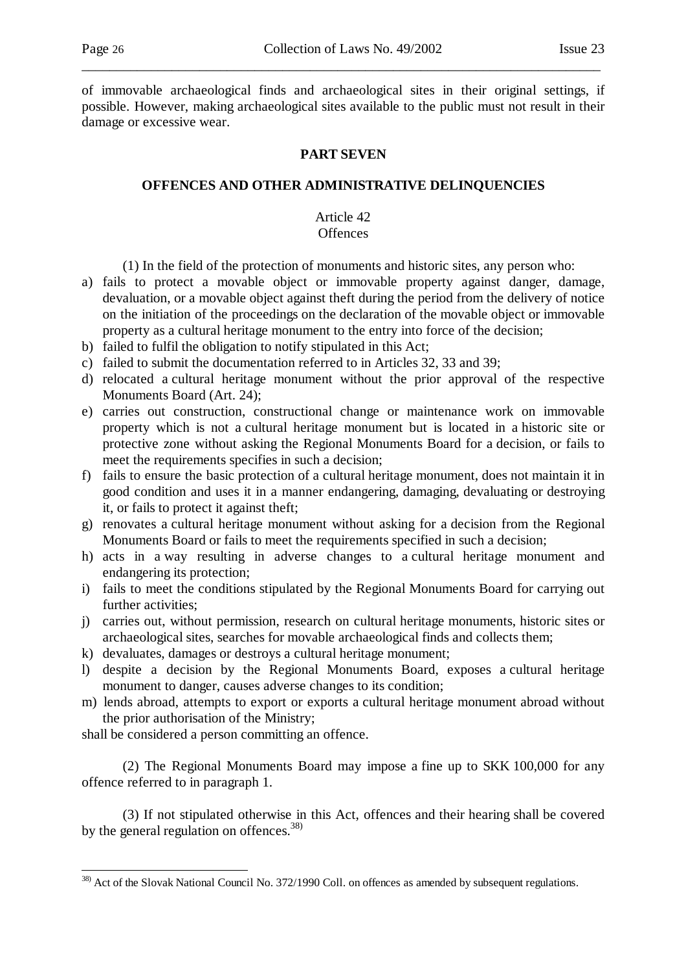of immovable archaeological finds and archaeological sites in their original settings, if possible. However, making archaeological sites available to the public must not result in their damage or excessive wear.

\_\_\_\_\_\_\_\_\_\_\_\_\_\_\_\_\_\_\_\_\_\_\_\_\_\_\_\_\_\_\_\_\_\_\_\_\_\_\_\_\_\_\_\_\_\_\_\_\_\_\_\_\_\_\_\_\_\_\_\_\_\_\_\_\_\_\_\_\_\_\_\_\_\_\_

### **PART SEVEN**

### **OFFENCES AND OTHER ADMINISTRATIVE DELINQUENCIES**

#### Article 42 **Offences**

- (1) In the field of the protection of monuments and historic sites, any person who:
- a) fails to protect a movable object or immovable property against danger, damage, devaluation, or a movable object against theft during the period from the delivery of notice on the initiation of the proceedings on the declaration of the movable object or immovable property as a cultural heritage monument to the entry into force of the decision;
- b) failed to fulfil the obligation to notify stipulated in this Act;
- c) failed to submit the documentation referred to in Articles 32, 33 and 39;
- d) relocated a cultural heritage monument without the prior approval of the respective Monuments Board (Art. 24);
- e) carries out construction, constructional change or maintenance work on immovable property which is not a cultural heritage monument but is located in a historic site or protective zone without asking the Regional Monuments Board for a decision, or fails to meet the requirements specifies in such a decision;
- f) fails to ensure the basic protection of a cultural heritage monument, does not maintain it in good condition and uses it in a manner endangering, damaging, devaluating or destroying it, or fails to protect it against theft;
- g) renovates a cultural heritage monument without asking for a decision from the Regional Monuments Board or fails to meet the requirements specified in such a decision;
- h) acts in a way resulting in adverse changes to a cultural heritage monument and endangering its protection;
- i) fails to meet the conditions stipulated by the Regional Monuments Board for carrying out further activities;
- j) carries out, without permission, research on cultural heritage monuments, historic sites or archaeological sites, searches for movable archaeological finds and collects them;
- k) devaluates, damages or destroys a cultural heritage monument;
- l) despite a decision by the Regional Monuments Board, exposes a cultural heritage monument to danger, causes adverse changes to its condition;
- m) lends abroad, attempts to export or exports a cultural heritage monument abroad without the prior authorisation of the Ministry;

shall be considered a person committing an offence.

-

 (2) The Regional Monuments Board may impose a fine up to SKK 100,000 for any offence referred to in paragraph 1.

 (3) If not stipulated otherwise in this Act, offences and their hearing shall be covered by the general regulation on offences.<sup>38)</sup>

<sup>&</sup>lt;sup>38)</sup> Act of the Slovak National Council No. 372/1990 Coll. on offences as amended by subsequent regulations.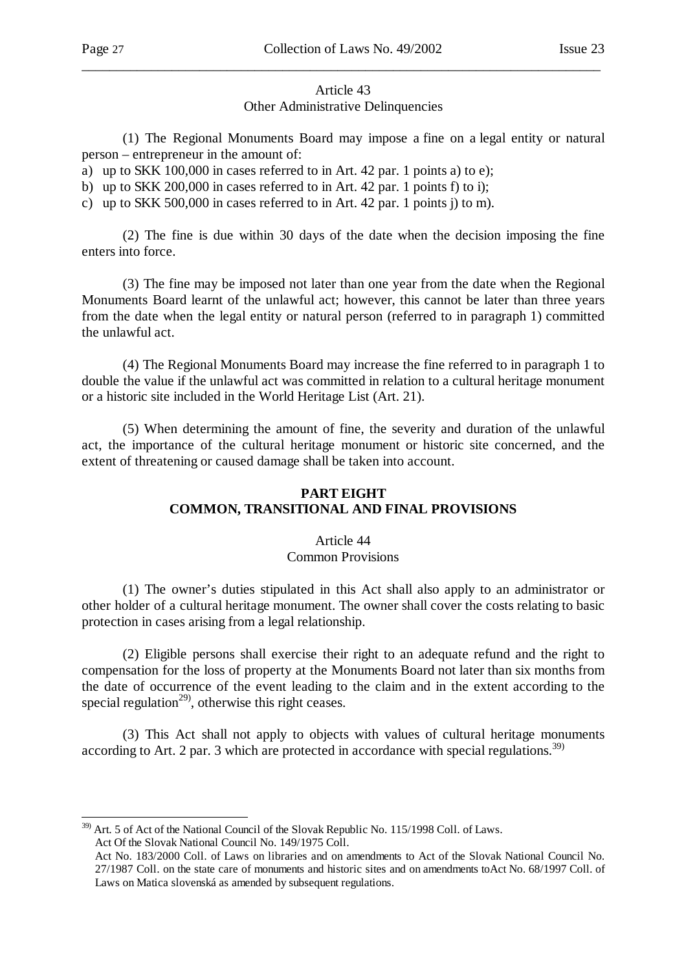# Article 43 Other Administrative Delinquencies

\_\_\_\_\_\_\_\_\_\_\_\_\_\_\_\_\_\_\_\_\_\_\_\_\_\_\_\_\_\_\_\_\_\_\_\_\_\_\_\_\_\_\_\_\_\_\_\_\_\_\_\_\_\_\_\_\_\_\_\_\_\_\_\_\_\_\_\_\_\_\_\_\_\_\_

 (1) The Regional Monuments Board may impose a fine on a legal entity or natural person – entrepreneur in the amount of:

a) up to SKK 100,000 in cases referred to in Art. 42 par. 1 points a) to e);

b) up to SKK 200,000 in cases referred to in Art. 42 par. 1 points f) to i);

c) up to SKK 500,000 in cases referred to in Art. 42 par. 1 points j) to m).

 (2) The fine is due within 30 days of the date when the decision imposing the fine enters into force.

 (3) The fine may be imposed not later than one year from the date when the Regional Monuments Board learnt of the unlawful act; however, this cannot be later than three years from the date when the legal entity or natural person (referred to in paragraph 1) committed the unlawful act.

 (4) The Regional Monuments Board may increase the fine referred to in paragraph 1 to double the value if the unlawful act was committed in relation to a cultural heritage monument or a historic site included in the World Heritage List (Art. 21).

 (5) When determining the amount of fine, the severity and duration of the unlawful act, the importance of the cultural heritage monument or historic site concerned, and the extent of threatening or caused damage shall be taken into account.

### **PART EIGHT COMMON, TRANSITIONAL AND FINAL PROVISIONS**

### Article 44 Common Provisions

 (1) The owner's duties stipulated in this Act shall also apply to an administrator or other holder of a cultural heritage monument. The owner shall cover the costs relating to basic protection in cases arising from a legal relationship.

 (2) Eligible persons shall exercise their right to an adequate refund and the right to compensation for the loss of property at the Monuments Board not later than six months from the date of occurrence of the event leading to the claim and in the extent according to the special regulation<sup>29)</sup>, otherwise this right ceases.

 (3) This Act shall not apply to objects with values of cultural heritage monuments according to Art. 2 par. 3 which are protected in accordance with special regulations.<sup>39)</sup>

l <sup>39)</sup> Art. 5 of Act of the National Council of the Slovak Republic No. 115/1998 Coll. of Laws. Act Of the Slovak National Council No. 149/1975 Coll.

Act No. 183/2000 Coll. of Laws on libraries and on amendments to Act of the Slovak National Council No. 27/1987 Coll. on the state care of monuments and historic sites and on amendments toAct No. 68/1997 Coll. of Laws on Matica slovenská as amended by subsequent regulations.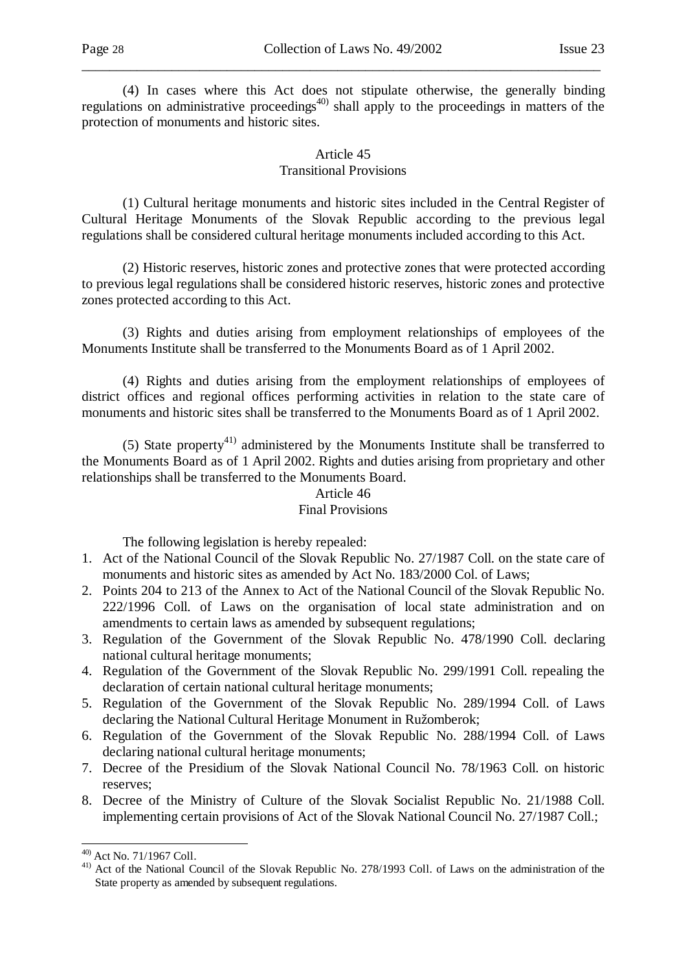(4) In cases where this Act does not stipulate otherwise, the generally binding regulations on administrative proceedings $40$  shall apply to the proceedings in matters of the protection of monuments and historic sites.

\_\_\_\_\_\_\_\_\_\_\_\_\_\_\_\_\_\_\_\_\_\_\_\_\_\_\_\_\_\_\_\_\_\_\_\_\_\_\_\_\_\_\_\_\_\_\_\_\_\_\_\_\_\_\_\_\_\_\_\_\_\_\_\_\_\_\_\_\_\_\_\_\_\_\_

### Article 45 Transitional Provisions

 (1) Cultural heritage monuments and historic sites included in the Central Register of Cultural Heritage Monuments of the Slovak Republic according to the previous legal regulations shall be considered cultural heritage monuments included according to this Act.

 (2) Historic reserves, historic zones and protective zones that were protected according to previous legal regulations shall be considered historic reserves, historic zones and protective zones protected according to this Act.

 (3) Rights and duties arising from employment relationships of employees of the Monuments Institute shall be transferred to the Monuments Board as of 1 April 2002.

 (4) Rights and duties arising from the employment relationships of employees of district offices and regional offices performing activities in relation to the state care of monuments and historic sites shall be transferred to the Monuments Board as of 1 April 2002.

(5) State property<sup>41)</sup> administered by the Monuments Institute shall be transferred to the Monuments Board as of 1 April 2002. Rights and duties arising from proprietary and other relationships shall be transferred to the Monuments Board.

### Article 46 Final Provisions

The following legislation is hereby repealed:

- 1. Act of the National Council of the Slovak Republic No. 27/1987 Coll. on the state care of monuments and historic sites as amended by Act No. 183/2000 Col. of Laws;
- 2. Points 204 to 213 of the Annex to Act of the National Council of the Slovak Republic No. 222/1996 Coll. of Laws on the organisation of local state administration and on amendments to certain laws as amended by subsequent regulations;
- 3. Regulation of the Government of the Slovak Republic No. 478/1990 Coll. declaring national cultural heritage monuments;
- 4. Regulation of the Government of the Slovak Republic No. 299/1991 Coll. repealing the declaration of certain national cultural heritage monuments;
- 5. Regulation of the Government of the Slovak Republic No. 289/1994 Coll. of Laws declaring the National Cultural Heritage Monument in Ružomberok;
- 6. Regulation of the Government of the Slovak Republic No. 288/1994 Coll. of Laws declaring national cultural heritage monuments;
- 7. Decree of the Presidium of the Slovak National Council No. 78/1963 Coll. on historic reserves;
- 8. Decree of the Ministry of Culture of the Slovak Socialist Republic No. 21/1988 Coll. implementing certain provisions of Act of the Slovak National Council No. 27/1987 Coll.;

l  $^{40)}$  Act No. 71/1967 Coll.

<sup>41)</sup> Act of the National Council of the Slovak Republic No. 278/1993 Coll. of Laws on the administration of the State property as amended by subsequent regulations.